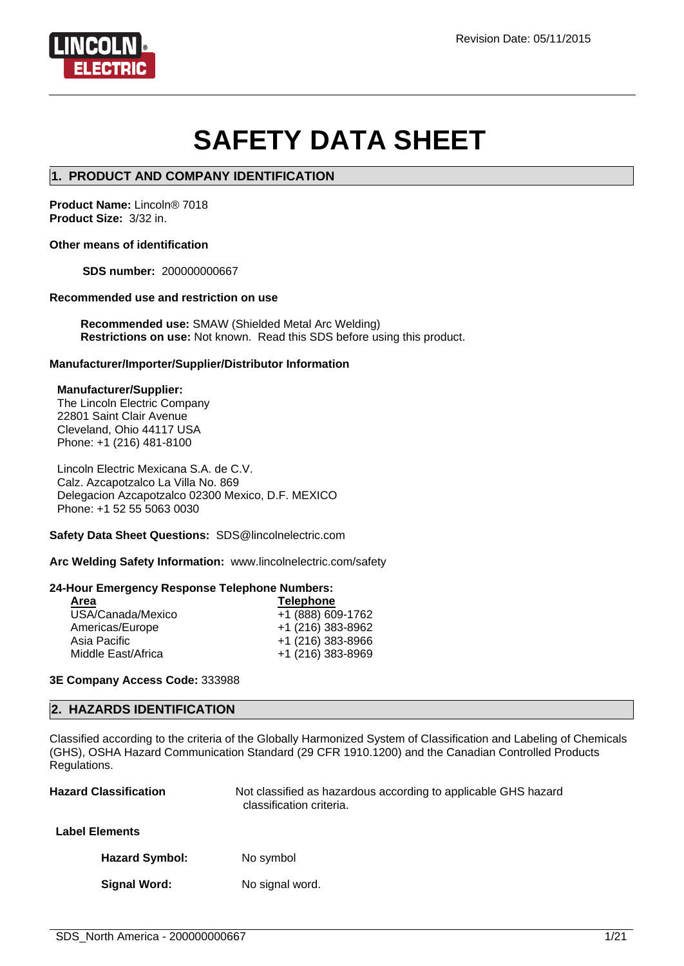

# **SAFETY DATA SHEET**

### **1. PRODUCT AND COMPANY IDENTIFICATION**

**Product Name:** Lincoln® 7018 **Product Size:** 3/32 in.

#### **Other means of identification**

**SDS number:** 200000000667

#### **Recommended use and restriction on use**

**Recommended use:** SMAW (Shielded Metal Arc Welding) **Restrictions on use:** Not known. Read this SDS before using this product.

#### **Manufacturer/Importer/Supplier/Distributor Information**

#### **Manufacturer/Supplier:**

The Lincoln Electric Company 22801 Saint Clair Avenue Cleveland, Ohio 44117 USA Phone: +1 (216) 481-8100

Lincoln Electric Mexicana S.A. de C.V. Calz. Azcapotzalco La Villa No. 869 Delegacion Azcapotzalco 02300 Mexico, D.F. MEXICO Phone: +1 52 55 5063 0030

#### **Safety Data Sheet Questions:** SDS@lincolnelectric.com

**Arc Welding Safety Information:** www.lincolnelectric.com/safety

#### **24-Hour Emergency Response Telephone Numbers:**

| Area               | <b>Telephone</b>  |
|--------------------|-------------------|
| USA/Canada/Mexico  | +1 (888) 609-1762 |
| Americas/Europe    | +1 (216) 383-8962 |
| Asia Pacific       | +1 (216) 383-8966 |
| Middle East/Africa | +1 (216) 383-8969 |
|                    |                   |

#### **3E Company Access Code:** 333988

#### **2. HAZARDS IDENTIFICATION**

Classified according to the criteria of the Globally Harmonized System of Classification and Labeling of Chemicals (GHS), OSHA Hazard Communication Standard (29 CFR 1910.1200) and the Canadian Controlled Products Regulations.

| <b>Hazard Classification</b> | Not classified as hazardous according to applicable GHS hazard<br>classification criteria. |
|------------------------------|--------------------------------------------------------------------------------------------|
| <b>Label Elements</b>        |                                                                                            |
| <b>Hazard Symbol:</b>        | No symbol                                                                                  |
| Signal Word:                 | No signal word.                                                                            |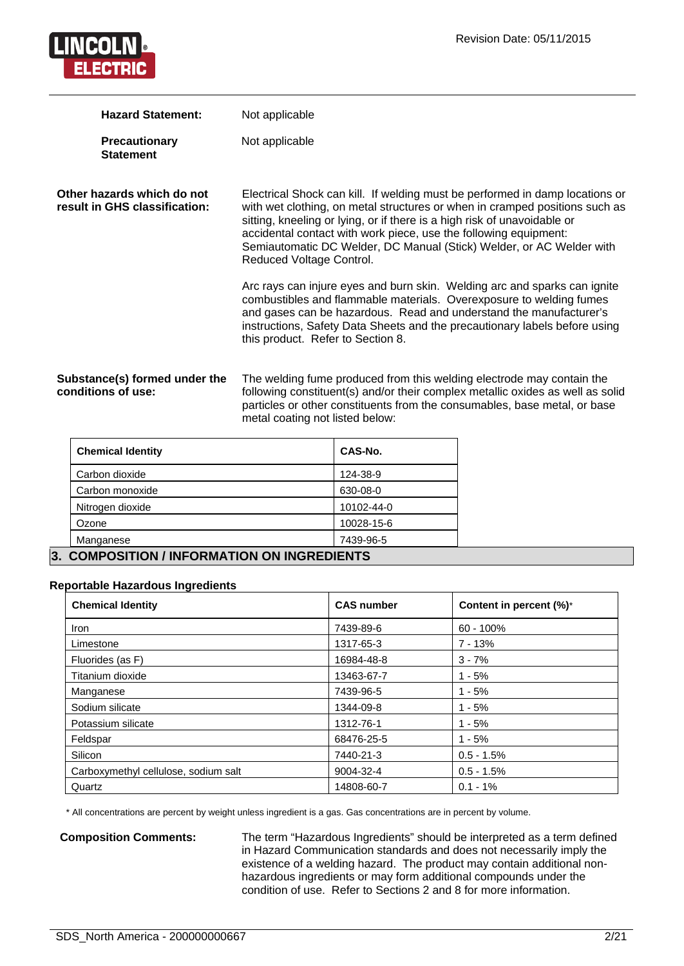

| <b>Hazard Statement:</b>                                    | Not applicable                                                                                                                                                                                                                                                                                                                                                                                                  |
|-------------------------------------------------------------|-----------------------------------------------------------------------------------------------------------------------------------------------------------------------------------------------------------------------------------------------------------------------------------------------------------------------------------------------------------------------------------------------------------------|
| Precautionary<br><b>Statement</b>                           | Not applicable                                                                                                                                                                                                                                                                                                                                                                                                  |
| Other hazards which do not<br>result in GHS classification: | Electrical Shock can kill. If welding must be performed in damp locations or<br>with wet clothing, on metal structures or when in cramped positions such as<br>sitting, kneeling or lying, or if there is a high risk of unavoidable or<br>accidental contact with work piece, use the following equipment:<br>Semiautomatic DC Welder, DC Manual (Stick) Welder, or AC Welder with<br>Reduced Voltage Control. |
|                                                             | Arc rays can injure eyes and burn skin. Welding arc and sparks can ignite<br>combustibles and flammable materials. Overexposure to welding fumes<br>and gases can be hazardous. Read and understand the manufacturer's<br>instructions, Safety Data Sheets and the precautionary labels before using<br>this product. Refer to Section 8.                                                                       |
| Substance(s) formed under the<br>conditions of use:         | The welding fume produced from this welding electrode may contain the<br>following constituent(s) and/or their complex metallic oxides as well as solid<br>particles or other constituents from the consumables, base metal, or base                                                                                                                                                                            |

metal coating not listed below:

| <b>Chemical Identity</b>   | CAS-No.    |  |
|----------------------------|------------|--|
| Carbon dioxide             | 124-38-9   |  |
| Carbon monoxide            | 630-08-0   |  |
| Nitrogen dioxide           | 10102-44-0 |  |
| Ozone                      | 10028-15-6 |  |
| Manganese                  | 7439-96-5  |  |
| 88118881 <del>7</del> 1811 |            |  |

# **3. COMPOSITION / INFORMATION ON INGREDIENTS**

#### **Reportable Hazardous Ingredients**

| <b>Chemical Identity</b>             | <b>CAS number</b> | Content in percent (%)* |
|--------------------------------------|-------------------|-------------------------|
| <b>Iron</b>                          | 7439-89-6         | $60 - 100\%$            |
| Limestone                            | 1317-65-3         | $7 - 13%$               |
| Fluorides (as F)                     | 16984-48-8        | $3 - 7%$                |
| Titanium dioxide                     | 13463-67-7        | $1 - 5%$                |
| Manganese                            | 7439-96-5         | $1 - 5%$                |
| Sodium silicate                      | 1344-09-8         | $1 - 5%$                |
| Potassium silicate                   | 1312-76-1         | $1 - 5%$                |
| Feldspar                             | 68476-25-5        | $1 - 5%$                |
| Silicon                              | 7440-21-3         | $0.5 - 1.5%$            |
| Carboxymethyl cellulose, sodium salt | 9004-32-4         | $0.5 - 1.5%$            |
| Quartz                               | 14808-60-7        | $0.1 - 1\%$             |

\* All concentrations are percent by weight unless ingredient is a gas. Gas concentrations are in percent by volume.

**Composition Comments:** The term "Hazardous Ingredients" should be interpreted as a term defined in Hazard Communication standards and does not necessarily imply the existence of a welding hazard. The product may contain additional nonhazardous ingredients or may form additional compounds under the condition of use. Refer to Sections 2 and 8 for more information.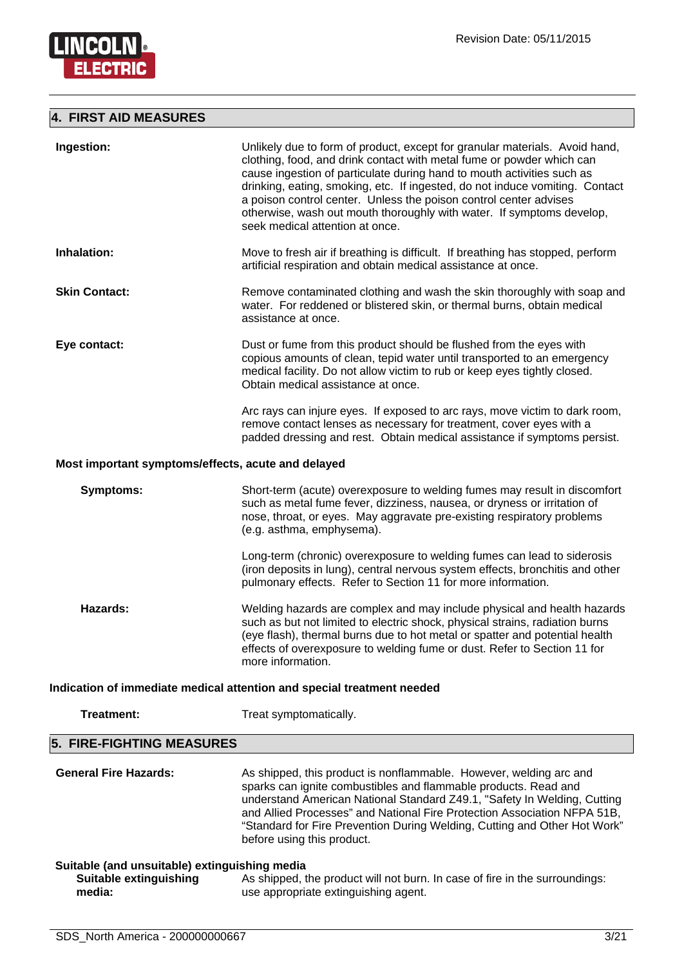

# **4. FIRST AID MEASURES**

| Ingestion:                                                                               | Unlikely due to form of product, except for granular materials. Avoid hand,<br>clothing, food, and drink contact with metal fume or powder which can<br>cause ingestion of particulate during hand to mouth activities such as<br>drinking, eating, smoking, etc. If ingested, do not induce vomiting. Contact<br>a poison control center. Unless the poison control center advises<br>otherwise, wash out mouth thoroughly with water. If symptoms develop,<br>seek medical attention at once. |
|------------------------------------------------------------------------------------------|-------------------------------------------------------------------------------------------------------------------------------------------------------------------------------------------------------------------------------------------------------------------------------------------------------------------------------------------------------------------------------------------------------------------------------------------------------------------------------------------------|
| Inhalation:                                                                              | Move to fresh air if breathing is difficult. If breathing has stopped, perform<br>artificial respiration and obtain medical assistance at once.                                                                                                                                                                                                                                                                                                                                                 |
| <b>Skin Contact:</b>                                                                     | Remove contaminated clothing and wash the skin thoroughly with soap and<br>water. For reddened or blistered skin, or thermal burns, obtain medical<br>assistance at once.                                                                                                                                                                                                                                                                                                                       |
| Eye contact:                                                                             | Dust or fume from this product should be flushed from the eyes with<br>copious amounts of clean, tepid water until transported to an emergency<br>medical facility. Do not allow victim to rub or keep eyes tightly closed.<br>Obtain medical assistance at once.                                                                                                                                                                                                                               |
|                                                                                          | Arc rays can injure eyes. If exposed to arc rays, move victim to dark room,<br>remove contact lenses as necessary for treatment, cover eyes with a<br>padded dressing and rest. Obtain medical assistance if symptoms persist.                                                                                                                                                                                                                                                                  |
| Most important symptoms/effects, acute and delayed                                       |                                                                                                                                                                                                                                                                                                                                                                                                                                                                                                 |
| <b>Symptoms:</b>                                                                         | Short-term (acute) overexposure to welding fumes may result in discomfort<br>such as metal fume fever, dizziness, nausea, or dryness or irritation of<br>nose, throat, or eyes. May aggravate pre-existing respiratory problems<br>(e.g. asthma, emphysema).                                                                                                                                                                                                                                    |
|                                                                                          | Long-term (chronic) overexposure to welding fumes can lead to siderosis<br>(iron deposits in lung), central nervous system effects, bronchitis and other<br>pulmonary effects. Refer to Section 11 for more information.                                                                                                                                                                                                                                                                        |
| Hazards:                                                                                 | Welding hazards are complex and may include physical and health hazards<br>such as but not limited to electric shock, physical strains, radiation burns<br>(eye flash), thermal burns due to hot metal or spatter and potential health<br>effects of overexposure to welding fume or dust. Refer to Section 11 for<br>more information.                                                                                                                                                         |
|                                                                                          | Indication of immediate medical attention and special treatment needed                                                                                                                                                                                                                                                                                                                                                                                                                          |
| <b>Treatment:</b>                                                                        | Treat symptomatically.                                                                                                                                                                                                                                                                                                                                                                                                                                                                          |
| 5. FIRE-FIGHTING MEASURES                                                                |                                                                                                                                                                                                                                                                                                                                                                                                                                                                                                 |
| <b>General Fire Hazards:</b>                                                             | As shipped, this product is nonflammable. However, welding arc and<br>sparks can ignite combustibles and flammable products. Read and<br>understand American National Standard Z49.1, "Safety In Welding, Cutting<br>and Allied Processes" and National Fire Protection Association NFPA 51B,<br>"Standard for Fire Prevention During Welding, Cutting and Other Hot Work"<br>before using this product.                                                                                        |
| Suitable (and unsuitable) extinguishing media<br><b>Suitable extinguishing</b><br>media: | As shipped, the product will not burn. In case of fire in the surroundings:<br>use appropriate extinguishing agent.                                                                                                                                                                                                                                                                                                                                                                             |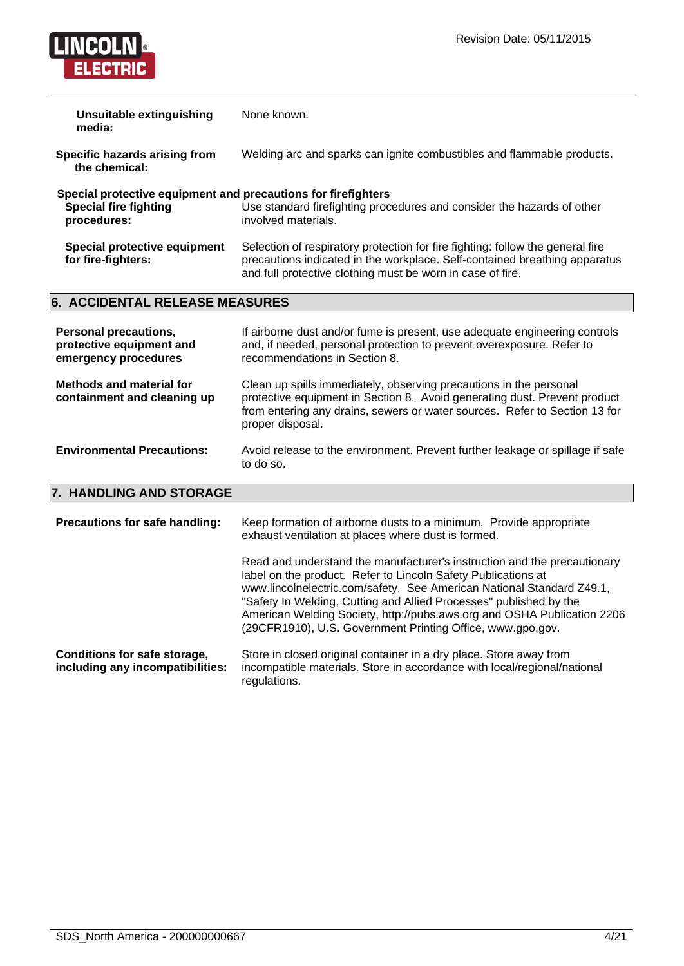

| <b>Unsuitable extinguishing</b><br>media:                                                                    | None known.                                                                                                                                                                                                                                                                                                                                                                                                                       |
|--------------------------------------------------------------------------------------------------------------|-----------------------------------------------------------------------------------------------------------------------------------------------------------------------------------------------------------------------------------------------------------------------------------------------------------------------------------------------------------------------------------------------------------------------------------|
| Specific hazards arising from<br>the chemical:                                                               | Welding arc and sparks can ignite combustibles and flammable products.                                                                                                                                                                                                                                                                                                                                                            |
| Special protective equipment and precautions for firefighters<br><b>Special fire fighting</b><br>procedures: | Use standard firefighting procedures and consider the hazards of other<br>involved materials.                                                                                                                                                                                                                                                                                                                                     |
| Special protective equipment<br>for fire-fighters:                                                           | Selection of respiratory protection for fire fighting: follow the general fire<br>precautions indicated in the workplace. Self-contained breathing apparatus<br>and full protective clothing must be worn in case of fire.                                                                                                                                                                                                        |
| 6. ACCIDENTAL RELEASE MEASURES                                                                               |                                                                                                                                                                                                                                                                                                                                                                                                                                   |
|                                                                                                              |                                                                                                                                                                                                                                                                                                                                                                                                                                   |
| <b>Personal precautions,</b><br>protective equipment and<br>emergency procedures                             | If airborne dust and/or fume is present, use adequate engineering controls<br>and, if needed, personal protection to prevent overexposure. Refer to<br>recommendations in Section 8.                                                                                                                                                                                                                                              |
| <b>Methods and material for</b><br>containment and cleaning up                                               | Clean up spills immediately, observing precautions in the personal<br>protective equipment in Section 8. Avoid generating dust. Prevent product<br>from entering any drains, sewers or water sources. Refer to Section 13 for<br>proper disposal.                                                                                                                                                                                 |
| <b>Environmental Precautions:</b>                                                                            | Avoid release to the environment. Prevent further leakage or spillage if safe<br>to do so.                                                                                                                                                                                                                                                                                                                                        |
| 7. HANDLING AND STORAGE                                                                                      |                                                                                                                                                                                                                                                                                                                                                                                                                                   |
| Precautions for safe handling:                                                                               | Keep formation of airborne dusts to a minimum. Provide appropriate<br>exhaust ventilation at places where dust is formed.                                                                                                                                                                                                                                                                                                         |
|                                                                                                              | Read and understand the manufacturer's instruction and the precautionary<br>label on the product. Refer to Lincoln Safety Publications at<br>www.lincolnelectric.com/safety. See American National Standard Z49.1,<br>"Safety In Welding, Cutting and Allied Processes" published by the<br>American Welding Society, http://pubs.aws.org and OSHA Publication 2206<br>(29CFR1910), U.S. Government Printing Office, www.gpo.gov. |

**Conditions for safe storage, including any incompatibilities:** Store in closed original container in a dry place. Store away from incompatible materials. Store in accordance with local/regional/national regulations.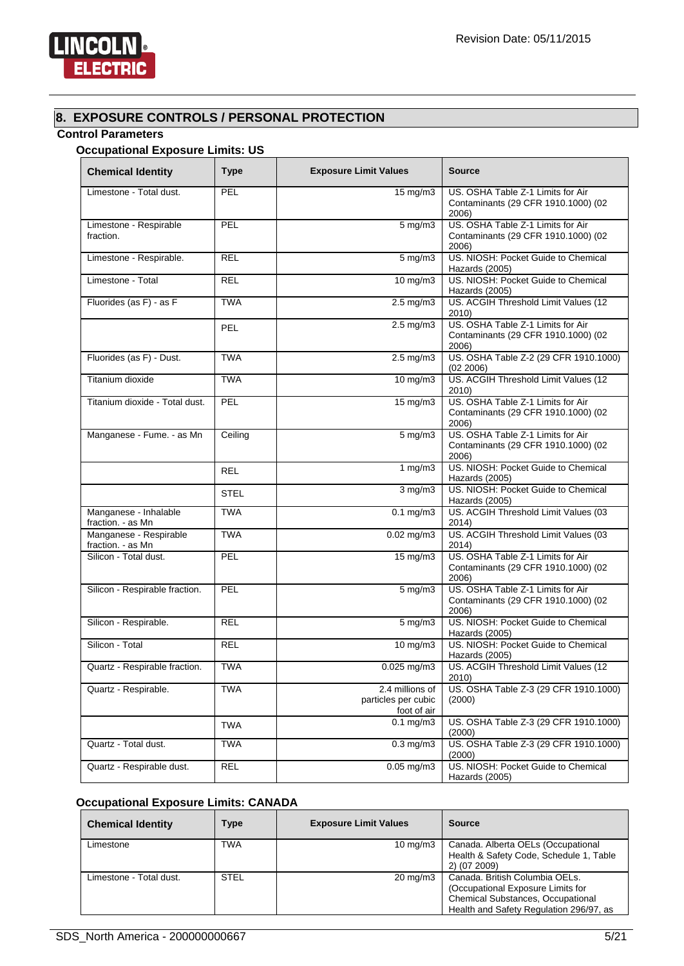

# **8. EXPOSURE CONTROLS / PERSONAL PROTECTION**

# **Control Parameters**

# **Occupational Exposure Limits: US**

| <b>Chemical Identity</b>                    | <b>Type</b> | <b>Exposure Limit Values</b>                          | <b>Source</b>                                                                     |
|---------------------------------------------|-------------|-------------------------------------------------------|-----------------------------------------------------------------------------------|
| Limestone - Total dust.                     | PEL         | 15 mg/m3                                              | US. OSHA Table Z-1 Limits for Air<br>Contaminants (29 CFR 1910.1000) (02<br>2006) |
| Limestone - Respirable<br>fraction.         | PEL         | $5$ mg/m $3$                                          | US. OSHA Table Z-1 Limits for Air<br>Contaminants (29 CFR 1910.1000) (02<br>2006) |
| Limestone - Respirable.                     | <b>REL</b>  | $5$ mg/m $3$                                          | US. NIOSH: Pocket Guide to Chemical<br>Hazards (2005)                             |
| Limestone - Total                           | <b>REL</b>  | $10$ mg/m $3$                                         | US. NIOSH: Pocket Guide to Chemical<br>Hazards (2005)                             |
| Fluorides (as F) - as F                     | <b>TWA</b>  | $2.5 \text{ mg/m}$                                    | US. ACGIH Threshold Limit Values (12<br>2010)                                     |
|                                             | <b>PEL</b>  | $2.5 \text{ mg/m}$                                    | US. OSHA Table Z-1 Limits for Air<br>Contaminants (29 CFR 1910.1000) (02<br>2006) |
| Fluorides (as F) - Dust.                    | <b>TWA</b>  | $2.5$ mg/m $3$                                        | US. OSHA Table Z-2 (29 CFR 1910.1000)<br>(02 2006)                                |
| Titanium dioxide                            | <b>TWA</b>  | $10$ mg/m $3$                                         | US. ACGIH Threshold Limit Values (12<br>2010)                                     |
| Titanium dioxide - Total dust.              | PEL         | $15 \text{ mg/m}$                                     | US. OSHA Table Z-1 Limits for Air<br>Contaminants (29 CFR 1910.1000) (02<br>2006) |
| Manganese - Fume. - as Mn                   | Ceiling     | 5 mg/m3                                               | US. OSHA Table Z-1 Limits for Air<br>Contaminants (29 CFR 1910.1000) (02<br>2006) |
|                                             | <b>REL</b>  | 1 $mg/m3$                                             | US. NIOSH: Pocket Guide to Chemical<br>Hazards (2005)                             |
|                                             | <b>STEL</b> | $3$ mg/m $3$                                          | US. NIOSH: Pocket Guide to Chemical<br>Hazards (2005)                             |
| Manganese - Inhalable<br>fraction. - as Mn  | <b>TWA</b>  | $0.1$ mg/m $3$                                        | US. ACGIH Threshold Limit Values (03<br>2014)                                     |
| Manganese - Respirable<br>fraction. - as Mn | <b>TWA</b>  | $0.02$ mg/m3                                          | US. ACGIH Threshold Limit Values (03<br>2014)                                     |
| Silicon - Total dust.                       | PEL         | $15 \text{ mg/m}$                                     | US. OSHA Table Z-1 Limits for Air<br>Contaminants (29 CFR 1910.1000) (02<br>2006) |
| Silicon - Respirable fraction.              | PEL         | 5 mg/m3                                               | US. OSHA Table Z-1 Limits for Air<br>Contaminants (29 CFR 1910.1000) (02<br>2006) |
| Silicon - Respirable.                       | <b>REL</b>  | $5 \text{ mg/m}$                                      | US. NIOSH: Pocket Guide to Chemical<br>Hazards (2005)                             |
| Silicon - Total                             | <b>REL</b>  | 10 mg/m3                                              | US. NIOSH: Pocket Guide to Chemical<br>Hazards (2005)                             |
| Quartz - Respirable fraction.               | <b>TWA</b>  | 0.025 mg/m3                                           | US. ACGIH Threshold Limit Values (12<br>2010)                                     |
| Quartz - Respirable.                        | <b>TWA</b>  | 2.4 millions of<br>particles per cubic<br>foot of air | US. OSHA Table Z-3 (29 CFR 1910.1000)<br>(2000)                                   |
|                                             | <b>TWA</b>  | $0.1$ mg/m $3$                                        | US. OSHA Table Z-3 (29 CFR 1910.1000)<br>(2000)                                   |
| Quartz - Total dust.                        | <b>TWA</b>  | $0.3$ mg/m $3$                                        | US. OSHA Table Z-3 (29 CFR 1910.1000)<br>(2000)                                   |
| Quartz - Respirable dust.                   | <b>REL</b>  | $0.05$ mg/m $3$                                       | US. NIOSH: Pocket Guide to Chemical<br>Hazards (2005)                             |

### **Occupational Exposure Limits: CANADA**

| <b>Chemical Identity</b> | Type        | <b>Exposure Limit Values</b> | <b>Source</b>                                                                                                                                       |
|--------------------------|-------------|------------------------------|-----------------------------------------------------------------------------------------------------------------------------------------------------|
| Limestone                | TWA         | $10 \text{ mg/m}$            | Canada. Alberta OELs (Occupational<br>Health & Safety Code, Schedule 1, Table<br>2) (07 2009)                                                       |
| Limestone - Total dust.  | <b>STEL</b> | $20 \text{ mg/m}$            | Canada. British Columbia OELs.<br>(Occupational Exposure Limits for<br>Chemical Substances, Occupational<br>Health and Safety Regulation 296/97, as |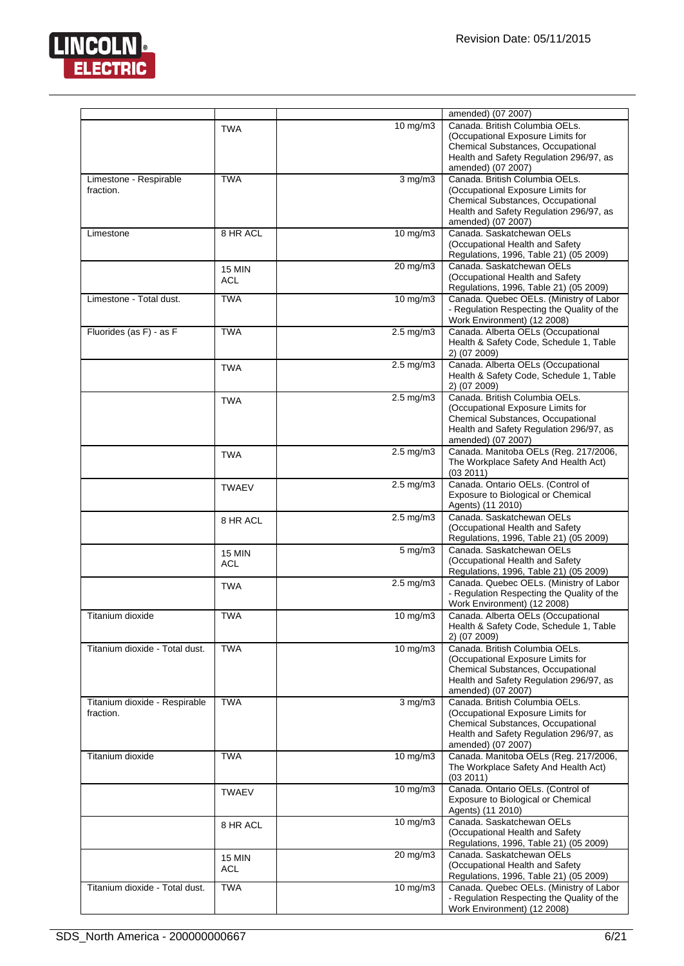

|                                            |                             |                            | amended) (07 2007)                                                                                                                                                        |
|--------------------------------------------|-----------------------------|----------------------------|---------------------------------------------------------------------------------------------------------------------------------------------------------------------------|
|                                            | <b>TWA</b>                  | $10 \text{ mg/m}$ 3        | Canada. British Columbia OELs.<br>(Occupational Exposure Limits for<br>Chemical Substances, Occupational<br>Health and Safety Regulation 296/97, as                       |
|                                            |                             |                            | amended) (07 2007)                                                                                                                                                        |
| Limestone - Respirable<br>fraction.        | <b>TWA</b>                  | $\frac{3 \text{ mg}}{m}$ 3 | Canada, British Columbia OELs.<br>(Occupational Exposure Limits for<br>Chemical Substances, Occupational<br>Health and Safety Regulation 296/97, as<br>amended) (07 2007) |
| Limestone                                  | 8 HR ACL                    | $10 \text{ mg/m}$ 3        | Canada. Saskatchewan OELs<br>(Occupational Health and Safety<br>Regulations, 1996, Table 21) (05 2009)                                                                    |
|                                            | <b>15 MIN</b><br>ACL        | 20 mg/m3                   | Canada. Saskatchewan OELs<br>(Occupational Health and Safety<br>Regulations, 1996, Table 21) (05 2009)                                                                    |
| Limestone - Total dust.                    | <b>TWA</b>                  | 10 mg/m3                   | Canada. Quebec OELs. (Ministry of Labor<br>- Regulation Respecting the Quality of the<br>Work Environment) (12 2008)                                                      |
| Fluorides (as F) - as F                    | <b>TWA</b>                  | $2.5 \text{ mg/m}$ 3       | Canada. Alberta OELs (Occupational<br>Health & Safety Code, Schedule 1, Table<br>2) (07 2009)                                                                             |
|                                            | <b>TWA</b>                  | $2.5$ mg/m $3$             | Canada. Alberta OELs (Occupational<br>Health & Safety Code, Schedule 1, Table<br>2) (07 2009)                                                                             |
|                                            | <b>TWA</b>                  | $2.5 \text{ mg/m}$ 3       | Canada. British Columbia OELs.<br>(Occupational Exposure Limits for<br>Chemical Substances, Occupational<br>Health and Safety Regulation 296/97, as<br>amended) (07 2007) |
|                                            | <b>TWA</b>                  | $2.5 \text{ mg/m}$ 3       | Canada. Manitoba OELs (Reg. 217/2006,<br>The Workplace Safety And Health Act)<br>(03 2011)                                                                                |
|                                            | <b>TWAEV</b>                | $2.5 \text{ mg/m}$ 3       | Canada. Ontario OELs. (Control of<br>Exposure to Biological or Chemical<br>Agents) (11 2010)                                                                              |
|                                            | 8 HR ACL                    | $2.5 \text{ mg/m}$ 3       | Canada, Saskatchewan OELs<br>(Occupational Health and Safety<br>Regulations, 1996, Table 21) (05 2009)                                                                    |
|                                            | <b>15 MIN</b><br><b>ACL</b> | $5 \text{ mg/m}$           | Canada. Saskatchewan OELs<br>(Occupational Health and Safety<br>Regulations, 1996, Table 21) (05 2009)                                                                    |
|                                            | <b>TWA</b>                  | $2.5 \text{ mg/m}$ 3       | Canada. Quebec OELs. (Ministry of Labor<br>- Regulation Respecting the Quality of the<br>Work Environment) (12 2008)                                                      |
| Titanium dioxide                           | <b>TWA</b>                  | $10 \text{ mg/m}$          | Canada. Alberta OELs (Occupational<br>Health & Safety Code, Schedule 1, Table<br>2) (07 2009)                                                                             |
| Titanium dioxide - Total dust.             | <b>TWA</b>                  | 10 mg/m3                   | Canada. British Columbia OELs.<br>(Occupational Exposure Limits for<br>Chemical Substances, Occupational<br>Health and Safety Regulation 296/97, as<br>amended) (07 2007) |
| Titanium dioxide - Respirable<br>fraction. | <b>TWA</b>                  | $3$ mg/m $3$               | Canada, British Columbia OELs.<br>(Occupational Exposure Limits for<br>Chemical Substances, Occupational<br>Health and Safety Regulation 296/97, as<br>amended) (07 2007) |
| Titanium dioxide                           | <b>TWA</b>                  | 10 mg/m3                   | Canada. Manitoba OELs (Reg. 217/2006,<br>The Workplace Safety And Health Act)<br>(03 2011)                                                                                |
|                                            | <b>TWAEV</b>                | $10 \text{ mg/m}$ 3        | Canada. Ontario OELs. (Control of<br>Exposure to Biological or Chemical<br>Agents) (11 2010)                                                                              |
|                                            | 8 HR ACL                    | $10 \text{ mg/m}$ 3        | Canada. Saskatchewan OELs<br>(Occupational Health and Safety<br>Regulations, 1996, Table 21) (05 2009)                                                                    |
|                                            | <b>15 MIN</b><br>ACL        | 20 mg/m3                   | Canada. Saskatchewan OELs<br>(Occupational Health and Safety<br>Regulations, 1996, Table 21) (05 2009)                                                                    |
| Titanium dioxide - Total dust.             | <b>TWA</b>                  | $10 \text{ mg/m}$ 3        | Canada. Quebec OELs. (Ministry of Labor<br>- Regulation Respecting the Quality of the<br>Work Environment) (12 2008)                                                      |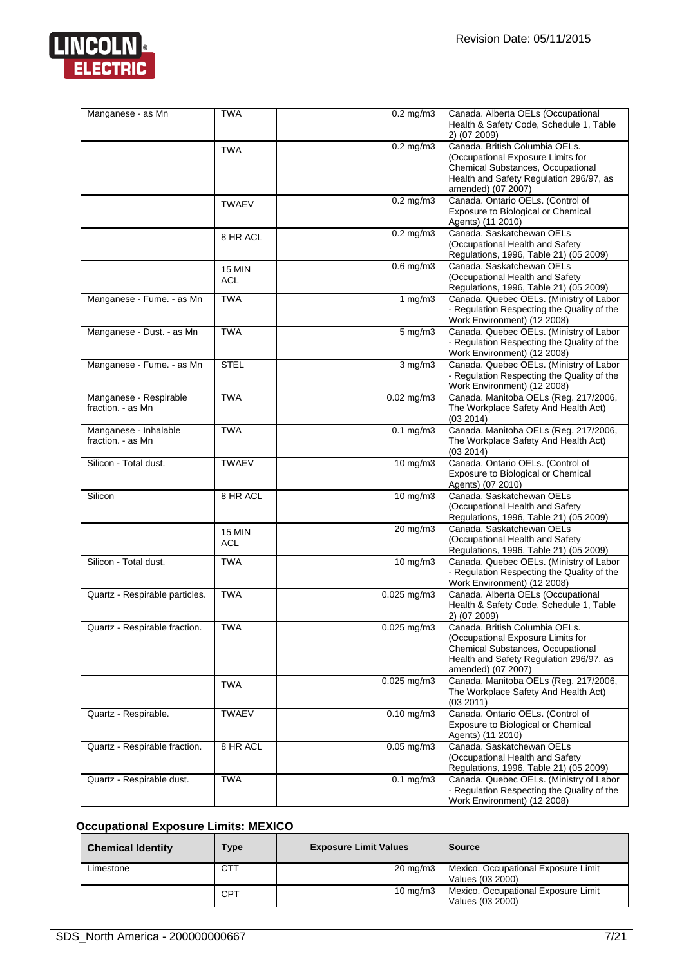

| Manganese - as Mn                           | <b>TWA</b>           | $0.2$ mg/m $3$         | Canada. Alberta OELs (Occupational<br>Health & Safety Code, Schedule 1, Table<br>2) (07 2009)                                                                             |
|---------------------------------------------|----------------------|------------------------|---------------------------------------------------------------------------------------------------------------------------------------------------------------------------|
|                                             | <b>TWA</b>           | $0.2$ mg/m $3$         | Canada. British Columbia OELs.<br>(Occupational Exposure Limits for<br>Chemical Substances, Occupational<br>Health and Safety Regulation 296/97, as<br>amended) (07 2007) |
|                                             | <b>TWAEV</b>         | $0.2 \text{ mg/m}$ 3   | Canada. Ontario OELs. (Control of<br>Exposure to Biological or Chemical<br>Agents) (11 2010)                                                                              |
|                                             | 8 HR ACL             | $0.2$ mg/m $3$         | Canada. Saskatchewan OELs<br>(Occupational Health and Safety<br>Regulations, 1996, Table 21) (05 2009)                                                                    |
|                                             | <b>15 MIN</b><br>ACL | $0.6$ mg/m $3$         | Canada. Saskatchewan OELs<br>(Occupational Health and Safety<br>Regulations, 1996, Table 21) (05 2009)                                                                    |
| Manganese - Fume. - as Mn                   | <b>TWA</b>           | 1 mg/m $3$             | Canada. Quebec OELs. (Ministry of Labor<br>- Regulation Respecting the Quality of the<br>Work Environment) (12 2008)                                                      |
| Manganese - Dust. - as Mn                   | <b>TWA</b>           | $5 \text{ mg/m}$       | Canada. Quebec OELs. (Ministry of Labor<br>- Regulation Respecting the Quality of the<br>Work Environment) (12 2008)                                                      |
| Manganese - Fume. - as Mn                   | <b>STEL</b>          | $3$ mg/m $3$           | Canada. Quebec OELs. (Ministry of Labor<br>- Regulation Respecting the Quality of the<br>Work Environment) (12 2008)                                                      |
| Manganese - Respirable<br>fraction. - as Mn | <b>TWA</b>           | $0.02$ mg/m $3$        | Canada. Manitoba OELs (Reg. 217/2006,<br>The Workplace Safety And Health Act)<br>(03 2014)                                                                                |
| Manganese - Inhalable<br>fraction. - as Mn  | <b>TWA</b>           | $0.1 \text{ mg/m}$ 3   | Canada. Manitoba OELs (Reg. 217/2006,<br>The Workplace Safety And Health Act)<br>(03 2014)                                                                                |
| Silicon - Total dust.                       | <b>TWAEV</b>         | 10 mg/m3               | Canada. Ontario OELs. (Control of<br>Exposure to Biological or Chemical<br>Agents) (07 2010)                                                                              |
| Silicon                                     | 8 HR ACL             | $10 \text{ mg/m}$      | Canada. Saskatchewan OELs<br>(Occupational Health and Safety<br>Regulations, 1996, Table 21) (05 2009)                                                                    |
|                                             | <b>15 MIN</b><br>ACL | 20 mg/m3               | Canada. Saskatchewan OELs<br>(Occupational Health and Safety<br>Regulations, 1996, Table 21) (05 2009)                                                                    |
| Silicon - Total dust.                       | <b>TWA</b>           | $10$ mg/m $3$          | Canada. Quebec OELs. (Ministry of Labor<br>- Regulation Respecting the Quality of the<br>Work Environment) (12 2008)                                                      |
| Quartz - Respirable particles.              | <b>TWA</b>           | $0.025$ mg/m $3$       | Canada. Alberta OELs (Occupational<br>Health & Safety Code, Schedule 1, Table<br>2) (07 2009)                                                                             |
| Quartz - Respirable fraction.               | <b>TWA</b>           | $0.025$ mg/m3          | Canada. British Columbia OELs.<br>(Occupational Exposure Limits for<br>Chemical Substances, Occupational<br>Health and Safety Regulation 296/97, as<br>amended) (07 2007) |
|                                             | <b>TWA</b>           | $0.025$ mg/m3          | Canada. Manitoba OELs (Reg. 217/2006,<br>The Workplace Safety And Health Act)<br>(03 2011)                                                                                |
| Quartz - Respirable.                        | <b>TWAEV</b>         | $0.10$ mg/m $3$        | Canada. Ontario OELs. (Control of<br>Exposure to Biological or Chemical<br>Agents) (11 2010)                                                                              |
| Quartz - Respirable fraction.               | 8 HR ACL             | $0.05$ mg/m $3$        | Canada. Saskatchewan OELs<br>(Occupational Health and Safety<br>Regulations, 1996, Table 21) (05 2009)                                                                    |
| Quartz - Respirable dust.                   | <b>TWA</b>           | $\overline{0.1}$ mg/m3 | Canada. Quebec OELs. (Ministry of Labor<br>- Regulation Respecting the Quality of the<br>Work Environment) (12 2008)                                                      |

# **Occupational Exposure Limits: MEXICO**

| <b>Chemical Identity</b> | <b>Type</b> | <b>Exposure Limit Values</b> | <b>Source</b>                                           |
|--------------------------|-------------|------------------------------|---------------------------------------------------------|
| Limestone                | <b>CTT</b>  | $20 \text{ mg/m}$            | Mexico. Occupational Exposure Limit<br>Values (03 2000) |
|                          | <b>CPT</b>  | $10 \text{ mg/m}$            | Mexico. Occupational Exposure Limit<br>Values (03 2000) |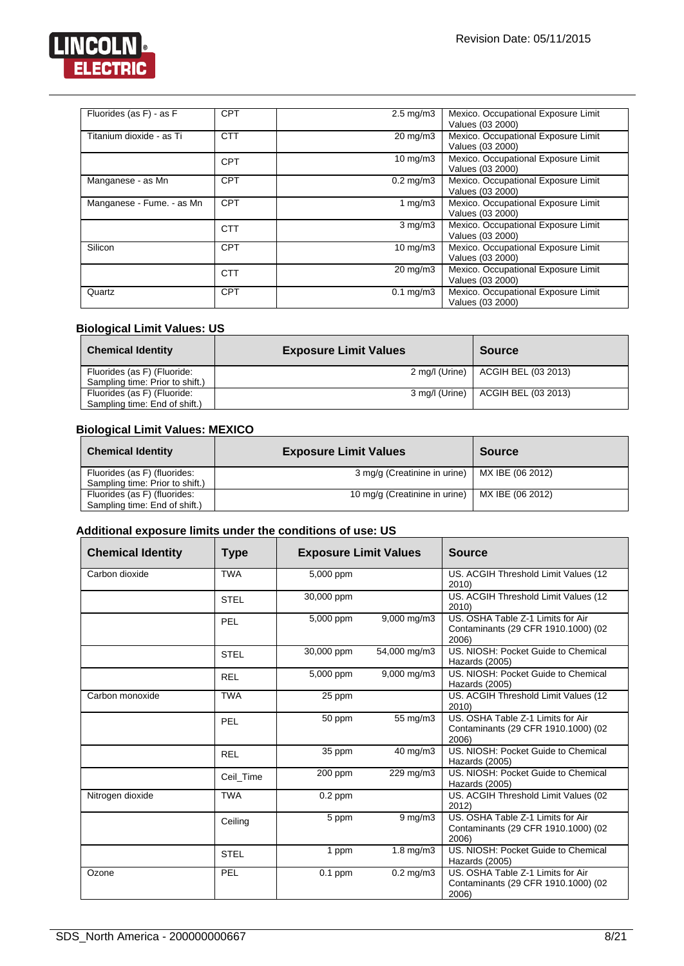

| Fluorides (as F) - as F   | <b>CPT</b> | $2.5 \text{ mg/m}$ 3 | Mexico. Occupational Exposure Limit<br>Values (03 2000) |
|---------------------------|------------|----------------------|---------------------------------------------------------|
| Titanium dioxide - as Ti  | <b>CTT</b> | $20 \text{ mg/m}$ 3  | Mexico. Occupational Exposure Limit<br>Values (03 2000) |
|                           | <b>CPT</b> | $10 \text{ mg/m}$    | Mexico. Occupational Exposure Limit<br>Values (03 2000) |
| Manganese - as Mn         | <b>CPT</b> | $0.2$ mg/m $3$       | Mexico. Occupational Exposure Limit<br>Values (03 2000) |
| Manganese - Fume. - as Mn | <b>CPT</b> | 1 $mg/m3$            | Mexico. Occupational Exposure Limit<br>Values (03 2000) |
|                           | <b>CTT</b> | $3$ mg/m $3$         | Mexico. Occupational Exposure Limit<br>Values (03 2000) |
| Silicon                   | <b>CPT</b> | $10 \text{ mg/m}$ 3  | Mexico. Occupational Exposure Limit<br>Values (03 2000) |
|                           | <b>CTT</b> | $20 \text{ mg/m}$ 3  | Mexico. Occupational Exposure Limit<br>Values (03 2000) |
| Quartz                    | <b>CPT</b> | $0.1$ mg/m $3$       | Mexico. Occupational Exposure Limit<br>Values (03 2000) |

# **Biological Limit Values: US**

| <b>Chemical Identity</b>        | <b>Exposure Limit Values</b> | <b>Source</b>       |
|---------------------------------|------------------------------|---------------------|
| Fluorides (as F) (Fluoride:     | 2 mg/l (Urine)               | ACGIH BEL (03 2013) |
| Sampling time: Prior to shift.) |                              |                     |
| Fluorides (as F) (Fluoride:     | 3 mg/l (Urine)               | ACGIH BEL (03 2013) |
| Sampling time: End of shift.)   |                              |                     |

# **Biological Limit Values: MEXICO**

| <b>Chemical Identity</b>        | <b>Exposure Limit Values</b>  | <b>Source</b>    |
|---------------------------------|-------------------------------|------------------|
| Fluorides (as F) (fluorides:    | 3 mg/g (Creatinine in urine)  | MX IBE (06 2012) |
| Sampling time: Prior to shift.) |                               |                  |
| Fluorides (as F) (fluorides:    | 10 mg/g (Creatinine in urine) | MX IBE (06 2012) |
| Sampling time: End of shift.)   |                               |                  |

# **Additional exposure limits under the conditions of use: US**

| <b>Chemical Identity</b> | <b>Type</b> | <b>Exposure Limit Values</b> |                      | <b>Source</b>                                                                     |
|--------------------------|-------------|------------------------------|----------------------|-----------------------------------------------------------------------------------|
| Carbon dioxide           | <b>TWA</b>  | 5,000 ppm                    |                      | US. ACGIH Threshold Limit Values (12<br>2010)                                     |
|                          | <b>STEL</b> | 30,000 ppm                   |                      | US. ACGIH Threshold Limit Values (12<br>2010)                                     |
|                          | <b>PEL</b>  | 5,000 ppm                    | 9,000 mg/m3          | US. OSHA Table Z-1 Limits for Air<br>Contaminants (29 CFR 1910.1000) (02<br>2006) |
|                          | <b>STEL</b> | 30,000 ppm                   | 54,000 mg/m3         | US. NIOSH: Pocket Guide to Chemical<br>Hazards (2005)                             |
|                          | <b>REL</b>  | 5,000 ppm                    | 9,000 mg/m3          | US. NIOSH: Pocket Guide to Chemical<br>Hazards (2005)                             |
| Carbon monoxide          | <b>TWA</b>  | 25 ppm                       |                      | US. ACGIH Threshold Limit Values (12<br>2010)                                     |
|                          | PEL         | 50 ppm                       | 55 mg/m3             | US. OSHA Table Z-1 Limits for Air<br>Contaminants (29 CFR 1910.1000) (02<br>2006) |
|                          | <b>REL</b>  | 35 ppm                       | 40 mg/m3             | US. NIOSH: Pocket Guide to Chemical<br>Hazards (2005)                             |
|                          | Ceil Time   | 200 ppm                      | 229 mg/m3            | US. NIOSH: Pocket Guide to Chemical<br>Hazards (2005)                             |
| Nitrogen dioxide         | <b>TWA</b>  | $\overline{0.2}$ ppm         |                      | US. ACGIH Threshold Limit Values (02<br>2012)                                     |
|                          | Ceiling     | 5 ppm                        | $9$ mg/m $3$         | US. OSHA Table Z-1 Limits for Air<br>Contaminants (29 CFR 1910.1000) (02<br>2006) |
|                          | <b>STEL</b> | 1 ppm                        | $1.8 \text{ mg/m}$ 3 | US. NIOSH: Pocket Guide to Chemical<br>Hazards (2005)                             |
| Ozone                    | PEL         | $0.1$ ppm                    | $0.2 \text{ mg/m}$ 3 | US. OSHA Table Z-1 Limits for Air<br>Contaminants (29 CFR 1910.1000) (02<br>2006) |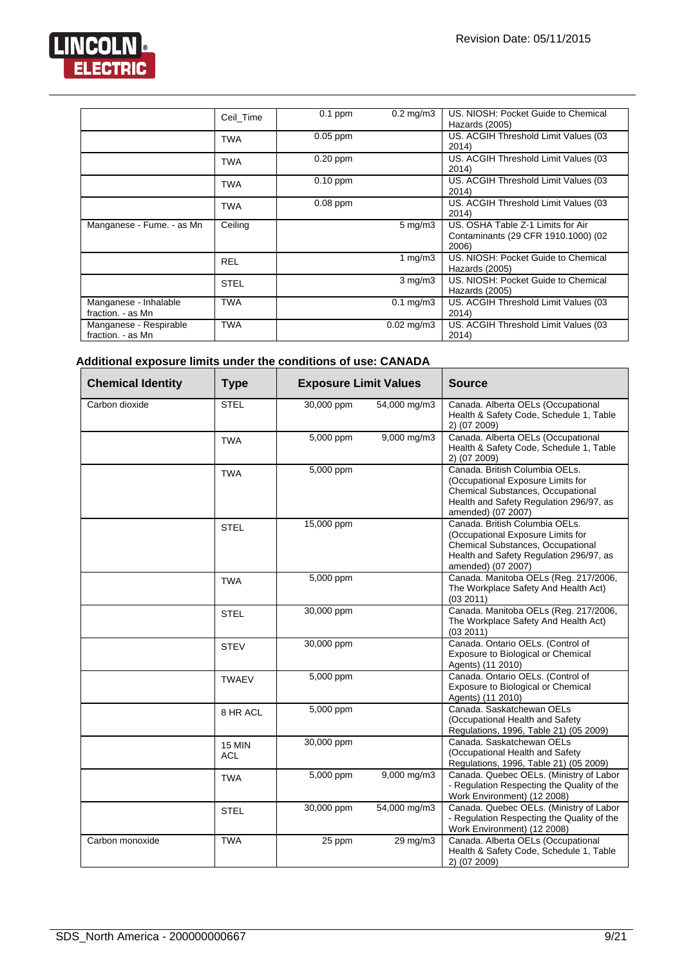

|                                             | Ceil Time   | $0.1$ ppm  | $0.2 \text{ mg/m}$ 3 | US. NIOSH: Pocket Guide to Chemical<br>Hazards (2005)                             |
|---------------------------------------------|-------------|------------|----------------------|-----------------------------------------------------------------------------------|
|                                             | <b>TWA</b>  | $0.05$ ppm |                      | US. ACGIH Threshold Limit Values (03<br>2014)                                     |
|                                             | TWA         | $0.20$ ppm |                      | US. ACGIH Threshold Limit Values (03<br>2014)                                     |
|                                             | <b>TWA</b>  | $0.10$ ppm |                      | US. ACGIH Threshold Limit Values (03<br>2014)                                     |
|                                             | <b>TWA</b>  | $0.08$ ppm |                      | US. ACGIH Threshold Limit Values (03<br>2014)                                     |
| Manganese - Fume. - as Mn                   | Ceiling     |            | $5 \text{ mg/m}$ 3   | US. OSHA Table Z-1 Limits for Air<br>Contaminants (29 CFR 1910.1000) (02<br>2006) |
|                                             | <b>REL</b>  |            | 1 mg/m $3$           | US. NIOSH: Pocket Guide to Chemical<br>Hazards (2005)                             |
|                                             | <b>STEL</b> |            | $3 \text{ mg/m}$     | US. NIOSH: Pocket Guide to Chemical<br>Hazards (2005)                             |
| Manganese - Inhalable<br>fraction. - as Mn  | <b>TWA</b>  |            | $0.1 \text{ mg/m}$ 3 | US. ACGIH Threshold Limit Values (03<br>2014)                                     |
| Manganese - Respirable<br>fraction. - as Mn | <b>TWA</b>  |            | $0.02$ mg/m $3$      | US. ACGIH Threshold Limit Values (03<br>2014)                                     |

# **Additional exposure limits under the conditions of use: CANADA**

| <b>Chemical Identity</b> | <b>Type</b>                 | <b>Exposure Limit Values</b> |                      | <b>Source</b>                                                                                                                                                             |
|--------------------------|-----------------------------|------------------------------|----------------------|---------------------------------------------------------------------------------------------------------------------------------------------------------------------------|
| Carbon dioxide           | <b>STEL</b>                 | 30,000 ppm                   | 54,000 mg/m3         | Canada. Alberta OELs (Occupational<br>Health & Safety Code, Schedule 1, Table<br>2) (07 2009)                                                                             |
|                          | <b>TWA</b>                  | 5,000 ppm                    | 9,000 mg/m3          | Canada. Alberta OELs (Occupational<br>Health & Safety Code, Schedule 1, Table<br>2) (07 2009)                                                                             |
|                          | <b>TWA</b>                  | 5,000 ppm                    |                      | Canada. British Columbia OELs.<br>(Occupational Exposure Limits for<br>Chemical Substances, Occupational<br>Health and Safety Regulation 296/97, as<br>amended) (07 2007) |
|                          | <b>STEL</b>                 | 15,000 ppm                   |                      | Canada. British Columbia OELs.<br>(Occupational Exposure Limits for<br>Chemical Substances, Occupational<br>Health and Safety Regulation 296/97, as<br>amended) (07 2007) |
|                          | <b>TWA</b>                  | 5,000 ppm                    |                      | Canada. Manitoba OELs (Reg. 217/2006,<br>The Workplace Safety And Health Act)<br>(03 2011)                                                                                |
|                          | <b>STEL</b>                 | 30,000 ppm                   |                      | Canada. Manitoba OELs (Reg. 217/2006,<br>The Workplace Safety And Health Act)<br>(03 2011)                                                                                |
|                          | <b>STEV</b>                 | 30,000 ppm                   |                      | Canada. Ontario OELs. (Control of<br>Exposure to Biological or Chemical<br>Agents) (11 2010)                                                                              |
|                          | <b>TWAEV</b>                | 5,000 ppm                    |                      | Canada. Ontario OELs. (Control of<br>Exposure to Biological or Chemical<br>Agents) (11 2010)                                                                              |
|                          | 8 HR ACL                    | 5,000 ppm                    |                      | Canada. Saskatchewan OELs<br>(Occupational Health and Safety<br>Regulations, 1996, Table 21) (05 2009)                                                                    |
|                          | <b>15 MIN</b><br><b>ACL</b> | 30,000 ppm                   |                      | Canada, Saskatchewan OELs<br>(Occupational Health and Safety<br>Regulations, 1996, Table 21) (05 2009)                                                                    |
|                          | <b>TWA</b>                  | 5,000 ppm                    | 9,000 mg/m3          | Canada. Quebec OELs. (Ministry of Labor<br>- Regulation Respecting the Quality of the<br>Work Environment) (12 2008)                                                      |
|                          | <b>STEL</b>                 | 30,000 ppm                   | 54,000 mg/m3         | Canada. Quebec OELs. (Ministry of Labor<br>- Regulation Respecting the Quality of the<br>Work Environment) (12 2008)                                                      |
| Carbon monoxide          | <b>TWA</b>                  | 25 ppm                       | $29 \,\mathrm{mg/m}$ | Canada. Alberta OELs (Occupational<br>Health & Safety Code, Schedule 1, Table<br>2) (07 2009)                                                                             |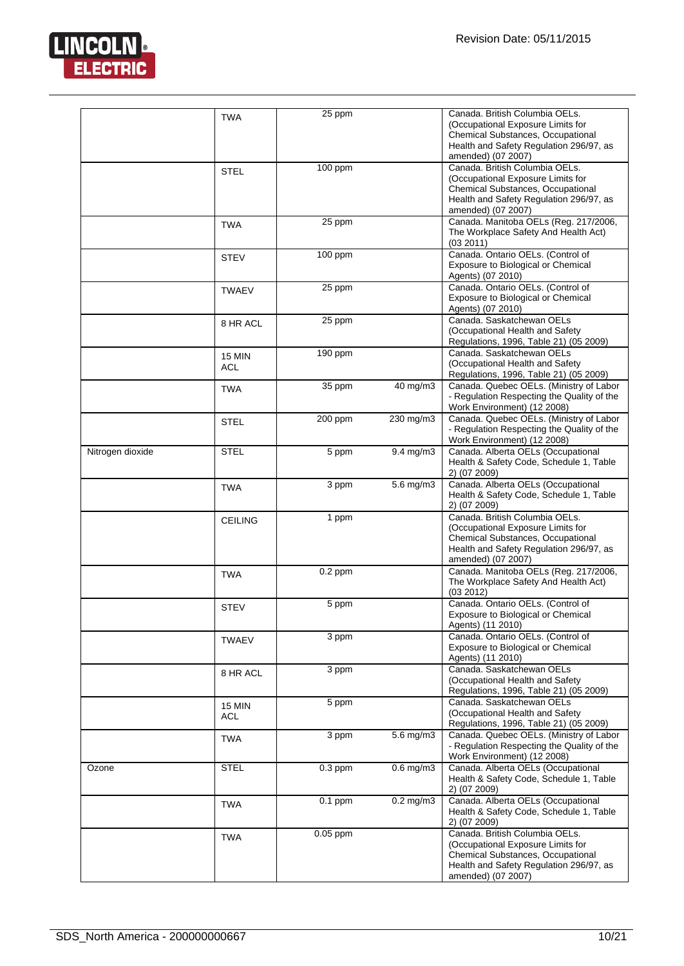

|                  | <b>TWA</b>                  | 25 ppm     |                      | Canada. British Columbia OELs.<br>(Occupational Exposure Limits for<br>Chemical Substances, Occupational<br>Health and Safety Regulation 296/97, as<br>amended) (07 2007) |
|------------------|-----------------------------|------------|----------------------|---------------------------------------------------------------------------------------------------------------------------------------------------------------------------|
|                  | <b>STEL</b>                 | 100 ppm    |                      | Canada. British Columbia OELs.<br>(Occupational Exposure Limits for<br>Chemical Substances, Occupational<br>Health and Safety Regulation 296/97, as<br>amended) (07 2007) |
|                  | <b>TWA</b>                  | 25 ppm     |                      | Canada. Manitoba OELs (Reg. 217/2006,<br>The Workplace Safety And Health Act)<br>(03 2011)                                                                                |
|                  | <b>STEV</b>                 | $100$ ppm  |                      | Canada. Ontario OELs. (Control of<br>Exposure to Biological or Chemical<br>Agents) (07 2010)                                                                              |
|                  | <b>TWAEV</b>                | 25 ppm     |                      | Canada. Ontario OELs. (Control of<br>Exposure to Biological or Chemical<br>Agents) (07 2010)                                                                              |
|                  | 8 HR ACL                    | 25 ppm     |                      | Canada. Saskatchewan OELs<br>(Occupational Health and Safety<br>Regulations, 1996, Table 21) (05 2009)                                                                    |
|                  | <b>15 MIN</b><br><b>ACL</b> | 190 ppm    |                      | Canada, Saskatchewan OELs<br>(Occupational Health and Safety<br>Regulations, 1996, Table 21) (05 2009)                                                                    |
|                  | <b>TWA</b>                  | 35 ppm     | 40 mg/m3             | Canada. Quebec OELs. (Ministry of Labor<br>- Regulation Respecting the Quality of the<br>Work Environment) (12 2008)                                                      |
|                  | <b>STEL</b>                 | 200 ppm    | 230 mg/m3            | Canada. Quebec OELs. (Ministry of Labor<br>- Regulation Respecting the Quality of the<br>Work Environment) (12 2008)                                                      |
| Nitrogen dioxide | <b>STEL</b>                 | 5 ppm      | $9.4 \text{ mg/m}$ 3 | Canada. Alberta OELs (Occupational<br>Health & Safety Code, Schedule 1, Table<br>2) (07 2009)                                                                             |
|                  | <b>TWA</b>                  | 3 ppm      | $5.6$ mg/m $3$       | Canada. Alberta OELs (Occupational<br>Health & Safety Code, Schedule 1, Table<br>2) (07 2009)                                                                             |
|                  | <b>CEILING</b>              | 1 ppm      |                      | Canada. British Columbia OELs.<br>(Occupational Exposure Limits for<br>Chemical Substances, Occupational<br>Health and Safety Regulation 296/97, as<br>amended) (07 2007) |
|                  | <b>TWA</b>                  | $0.2$ ppm  |                      | Canada. Manitoba OELs (Reg. 217/2006,<br>The Workplace Safety And Health Act)<br>(03 2012)                                                                                |
|                  | <b>STEV</b>                 | 5 ppm      |                      | Canada. Ontario OELs. (Control of<br>Exposure to Biological or Chemical<br>Agents) (11 2010)                                                                              |
|                  | TWAEV                       | 3 ppm      |                      | Canada. Ontario OELs. (Control of<br>Exposure to Biological or Chemical<br>Agents) (11 2010)                                                                              |
|                  | 8 HR ACL                    | 3 ppm      |                      | Canada. Saskatchewan OELs<br>(Occupational Health and Safety<br>Regulations, 1996, Table 21) (05 2009)                                                                    |
|                  | <b>15 MIN</b><br>ACL        | 5 ppm      |                      | Canada, Saskatchewan OELs<br>(Occupational Health and Safety<br>Regulations, 1996, Table 21) (05 2009)                                                                    |
|                  | TWA                         | 3 ppm      | $5.6 \text{ mg/m}$ 3 | Canada. Quebec OELs. (Ministry of Labor<br>- Regulation Respecting the Quality of the<br>Work Environment) (12 2008)                                                      |
| Ozone            | <b>STEL</b>                 | $0.3$ ppm  | $0.6$ mg/m $3$       | Canada. Alberta OELs (Occupational<br>Health & Safety Code, Schedule 1, Table<br>2) (07 2009)                                                                             |
|                  | <b>TWA</b>                  | $0.1$ ppm  | $0.2$ mg/m $3$       | Canada. Alberta OELs (Occupational<br>Health & Safety Code, Schedule 1, Table<br>2) (07 2009)                                                                             |
|                  | <b>TWA</b>                  | $0.05$ ppm |                      | Canada. British Columbia OELs.<br>(Occupational Exposure Limits for<br>Chemical Substances, Occupational<br>Health and Safety Regulation 296/97, as<br>amended) (07 2007) |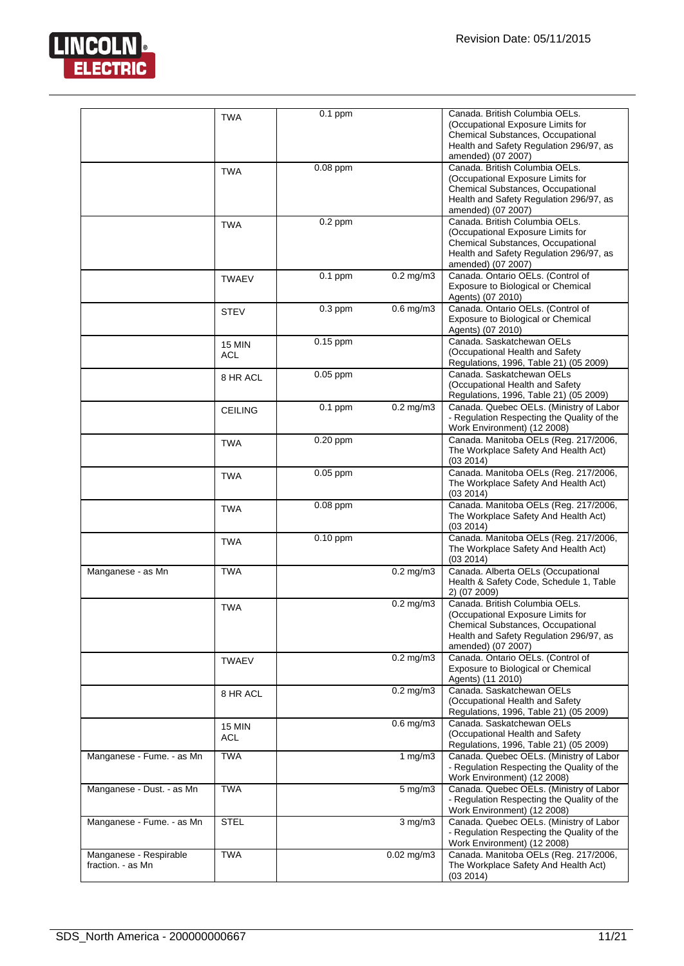

|                                             | <b>TWA</b>                  | $0.1$ ppm  |                | Canada, British Columbia OELs.<br>(Occupational Exposure Limits for<br>Chemical Substances, Occupational<br>Health and Safety Regulation 296/97, as<br>amended) (07 2007) |
|---------------------------------------------|-----------------------------|------------|----------------|---------------------------------------------------------------------------------------------------------------------------------------------------------------------------|
|                                             | <b>TWA</b>                  | 0.08 ppm   |                | Canada. British Columbia OELs.<br>(Occupational Exposure Limits for<br>Chemical Substances, Occupational<br>Health and Safety Regulation 296/97, as<br>amended) (07 2007) |
|                                             | <b>TWA</b>                  | $0.2$ ppm  |                | Canada. British Columbia OELs.<br>(Occupational Exposure Limits for<br>Chemical Substances, Occupational<br>Health and Safety Regulation 296/97, as<br>amended) (07 2007) |
|                                             | <b>TWAEV</b>                | $0.1$ ppm  | $0.2$ mg/m $3$ | Canada. Ontario OELs. (Control of<br>Exposure to Biological or Chemical<br>Agents) (07 2010)                                                                              |
|                                             | <b>STEV</b>                 | $0.3$ ppm  | $0.6$ mg/m $3$ | Canada. Ontario OELs. (Control of<br>Exposure to Biological or Chemical<br>Agents) (07 2010)                                                                              |
|                                             | <b>15 MIN</b><br><b>ACL</b> | 0.15 ppm   |                | Canada, Saskatchewan OELs<br>(Occupational Health and Safety<br>Regulations, 1996, Table 21) (05 2009)                                                                    |
|                                             | 8 HR ACL                    | $0.05$ ppm |                | Canada. Saskatchewan OELs<br>(Occupational Health and Safety<br>Regulations, 1996, Table 21) (05 2009)                                                                    |
|                                             | <b>CEILING</b>              | $0.1$ ppm  | $0.2$ mg/m $3$ | Canada. Quebec OELs. (Ministry of Labor<br>- Regulation Respecting the Quality of the<br>Work Environment) (12 2008)                                                      |
|                                             | <b>TWA</b>                  | 0.20 ppm   |                | Canada. Manitoba OELs (Reg. 217/2006,<br>The Workplace Safety And Health Act)<br>(03 2014)                                                                                |
|                                             | <b>TWA</b>                  | 0.05 ppm   |                | Canada. Manitoba OELs (Reg. 217/2006,<br>The Workplace Safety And Health Act)<br>(03 2014)                                                                                |
|                                             | TWA                         | 0.08 ppm   |                | Canada. Manitoba OELs (Reg. 217/2006,<br>The Workplace Safety And Health Act)<br>(03 2014)                                                                                |
|                                             | <b>TWA</b>                  | $0.10$ ppm |                | Canada. Manitoba OELs (Reg. 217/2006,<br>The Workplace Safety And Health Act)<br>(03 2014)                                                                                |
| Manganese - as Mn                           | <b>TWA</b>                  |            | $0.2$ mg/m $3$ | Canada. Alberta OELs (Occupational<br>Health & Safety Code, Schedule 1, Table<br>2) (07 2009)                                                                             |
|                                             | <b>TWA</b>                  |            | $0.2$ mg/m $3$ | Canada. British Columbia OELs.<br>(Occupational Exposure Limits for<br>Chemical Substances, Occupational<br>Health and Safety Regulation 296/97, as<br>amended) (07 2007) |
|                                             | <b>TWAEV</b>                |            | $0.2$ mg/m $3$ | Canada. Ontario OELs. (Control of<br>Exposure to Biological or Chemical<br>Agents) (11 2010)                                                                              |
|                                             | 8 HR ACL                    |            | $0.2$ mg/m $3$ | Canada. Saskatchewan OELs<br>(Occupational Health and Safety<br>Regulations, 1996, Table 21) (05 2009)                                                                    |
|                                             | <b>15 MIN</b><br><b>ACL</b> |            | $0.6$ mg/m $3$ | Canada, Saskatchewan OELs<br>(Occupational Health and Safety<br>Regulations, 1996, Table 21) (05 2009)                                                                    |
| Manganese - Fume. - as Mn                   | <b>TWA</b>                  |            | 1 $mg/m3$      | Canada. Quebec OELs. (Ministry of Labor<br>- Regulation Respecting the Quality of the<br>Work Environment) (12 2008)                                                      |
| Manganese - Dust. - as Mn                   | <b>TWA</b>                  |            | 5 mg/m3        | Canada. Quebec OELs. (Ministry of Labor<br>- Regulation Respecting the Quality of the<br>Work Environment) (12 2008)                                                      |
| Manganese - Fume. - as Mn                   | <b>STEL</b>                 |            | $3$ mg/m $3$   | Canada. Quebec OELs. (Ministry of Labor<br>- Regulation Respecting the Quality of the<br>Work Environment) (12 2008)                                                      |
| Manganese - Respirable<br>fraction. - as Mn | <b>TWA</b>                  |            | $0.02$ mg/m3   | Canada. Manitoba OELs (Reg. 217/2006,<br>The Workplace Safety And Health Act)<br>(03 2014)                                                                                |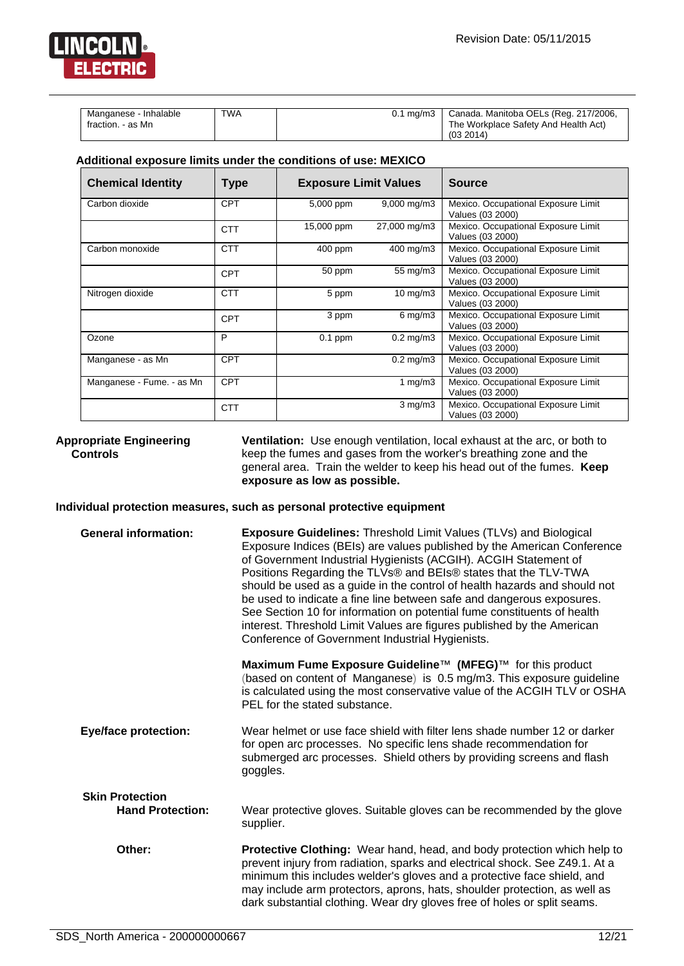

| Manganese - Inhalable | <b>TWA</b> | 0.1 mg/m3   Canada. Manitoba OELs (Reg. 217/2006, |
|-----------------------|------------|---------------------------------------------------|
| fraction. - as Mn     |            | The Workplace Safety And Health Act)              |
|                       |            | (03, 2014)                                        |

#### **Additional exposure limits under the conditions of use: MEXICO**

| <b>Chemical Identity</b>  | Type       | <b>Exposure Limit Values</b> |                      | <b>Source</b>                                           |
|---------------------------|------------|------------------------------|----------------------|---------------------------------------------------------|
| Carbon dioxide            | <b>CPT</b> | 5,000 ppm                    | 9,000 mg/m3          | Mexico. Occupational Exposure Limit<br>Values (03 2000) |
|                           | <b>CTT</b> | 15,000 ppm                   | 27,000 mg/m3         | Mexico. Occupational Exposure Limit<br>Values (03 2000) |
| Carbon monoxide           | <b>CTT</b> | $400$ ppm                    | 400 mg/m3            | Mexico. Occupational Exposure Limit<br>Values (03 2000) |
|                           | <b>CPT</b> | 50 ppm                       | 55 mg/m3             | Mexico. Occupational Exposure Limit<br>Values (03 2000) |
| Nitrogen dioxide          | <b>CTT</b> | 5 ppm                        | $10 \text{ mg/m}$    | Mexico. Occupational Exposure Limit<br>Values (03 2000) |
|                           | CPT        | 3 ppm                        | $6 \,\mathrm{mg/m3}$ | Mexico. Occupational Exposure Limit<br>Values (03 2000) |
| Ozone                     | P          | $0.1$ ppm                    | $0.2 \text{ mg/m}$ 3 | Mexico. Occupational Exposure Limit<br>Values (03 2000) |
| Manganese - as Mn         | <b>CPT</b> |                              | $0.2 \text{ mg/m}$ 3 | Mexico. Occupational Exposure Limit<br>Values (03 2000) |
| Manganese - Fume. - as Mn | <b>CPT</b> |                              | 1 $mg/m3$            | Mexico. Occupational Exposure Limit<br>Values (03 2000) |
|                           | <b>CTT</b> |                              | $3$ mg/m $3$         | Mexico. Occupational Exposure Limit<br>Values (03 2000) |

#### **Appropriate Engineering Controls**

**Ventilation:** Use enough ventilation, local exhaust at the arc, or both to keep the fumes and gases from the worker's breathing zone and the general area. Train the welder to keep his head out of the fumes. **Keep exposure as low as possible.**

#### **Individual protection measures, such as personal protective equipment**

| <b>General information:</b> | <b>Exposure Guidelines: Threshold Limit Values (TLVs) and Biological</b><br>Exposure Indices (BEIs) are values published by the American Conference<br>of Government Industrial Hygienists (ACGIH). ACGIH Statement of<br>Positions Regarding the TLVs® and BEIs® states that the TLV-TWA<br>should be used as a guide in the control of health hazards and should not<br>be used to indicate a fine line between safe and dangerous exposures.<br>See Section 10 for information on potential fume constituents of health<br>interest. Threshold Limit Values are figures published by the American<br>Conference of Government Industrial Hygienists. |
|-----------------------------|---------------------------------------------------------------------------------------------------------------------------------------------------------------------------------------------------------------------------------------------------------------------------------------------------------------------------------------------------------------------------------------------------------------------------------------------------------------------------------------------------------------------------------------------------------------------------------------------------------------------------------------------------------|
|                             | Maximum Fume Exposure Guideline™ (MFEG)™ for this product<br>(based on content of Manganese) is 0.5 mg/m3. This exposure guideline<br>is calculated using the most conservative value of the ACGIH TLV or OSHA<br>PEL for the stated substance.                                                                                                                                                                                                                                                                                                                                                                                                         |
| <b>Eye/face protection:</b> | Wear helmet or use face shield with filter lens shade number 12 or darker<br>for open arc processes. No specific lens shade recommendation for<br>submerged arc processes. Shield others by providing screens and flash<br>goggles.                                                                                                                                                                                                                                                                                                                                                                                                                     |
| <b>Skin Protection</b>      |                                                                                                                                                                                                                                                                                                                                                                                                                                                                                                                                                                                                                                                         |
| <b>Hand Protection:</b>     | Wear protective gloves. Suitable gloves can be recommended by the glove<br>supplier.                                                                                                                                                                                                                                                                                                                                                                                                                                                                                                                                                                    |
| Other:                      | <b>Protective Clothing:</b> Wear hand, head, and body protection which help to<br>prevent injury from radiation, sparks and electrical shock. See Z49.1. At a<br>minimum this includes welder's gloves and a protective face shield, and<br>may include arm protectors, aprons, hats, shoulder protection, as well as<br>dark substantial clothing. Wear dry gloves free of holes or split seams.                                                                                                                                                                                                                                                       |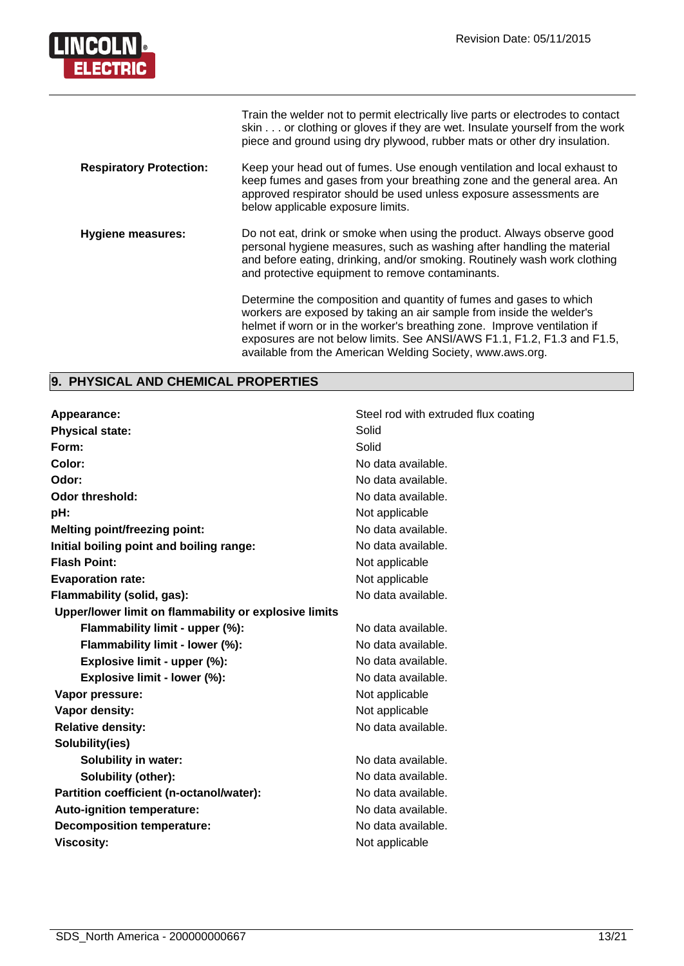

|                                | Train the welder not to permit electrically live parts or electrodes to contact<br>skin or clothing or gloves if they are wet. Insulate yourself from the work<br>piece and ground using dry plywood, rubber mats or other dry insulation.                                                                                                                     |
|--------------------------------|----------------------------------------------------------------------------------------------------------------------------------------------------------------------------------------------------------------------------------------------------------------------------------------------------------------------------------------------------------------|
| <b>Respiratory Protection:</b> | Keep your head out of fumes. Use enough ventilation and local exhaust to<br>keep fumes and gases from your breathing zone and the general area. An<br>approved respirator should be used unless exposure assessments are<br>below applicable exposure limits.                                                                                                  |
| <b>Hygiene measures:</b>       | Do not eat, drink or smoke when using the product. Always observe good<br>personal hygiene measures, such as washing after handling the material<br>and before eating, drinking, and/or smoking. Routinely wash work clothing<br>and protective equipment to remove contaminants.                                                                              |
|                                | Determine the composition and quantity of fumes and gases to which<br>workers are exposed by taking an air sample from inside the welder's<br>helmet if worn or in the worker's breathing zone. Improve ventilation if<br>exposures are not below limits. See ANSI/AWS F1.1, F1.2, F1.3 and F1.5,<br>available from the American Welding Society, www.aws.org. |

# **9. PHYSICAL AND CHEMICAL PROPERTIES**

| Appearance:                                           | Steel rod with extruded flux coating |
|-------------------------------------------------------|--------------------------------------|
| <b>Physical state:</b>                                | Solid                                |
| Form:                                                 | Solid                                |
| Color:                                                | No data available.                   |
| Odor:                                                 | No data available.                   |
| Odor threshold:                                       | No data available.                   |
| pH:                                                   | Not applicable                       |
| <b>Melting point/freezing point:</b>                  | No data available.                   |
| Initial boiling point and boiling range:              | No data available.                   |
| <b>Flash Point:</b>                                   | Not applicable                       |
| <b>Evaporation rate:</b>                              | Not applicable                       |
| Flammability (solid, gas):                            | No data available.                   |
| Upper/lower limit on flammability or explosive limits |                                      |
| Flammability limit - upper (%):                       | No data available.                   |
| Flammability limit - lower (%):                       | No data available.                   |
| Explosive limit - upper (%):                          | No data available.                   |
| Explosive limit - lower (%):                          | No data available.                   |
| Vapor pressure:                                       | Not applicable                       |
| Vapor density:                                        | Not applicable                       |
| <b>Relative density:</b>                              | No data available.                   |
| Solubility(ies)                                       |                                      |
| <b>Solubility in water:</b>                           | No data available.                   |
| Solubility (other):                                   | No data available.                   |
| Partition coefficient (n-octanol/water):              | No data available.                   |
| Auto-ignition temperature:                            | No data available.                   |
| <b>Decomposition temperature:</b>                     | No data available.                   |
| <b>Viscosity:</b>                                     | Not applicable                       |
|                                                       |                                      |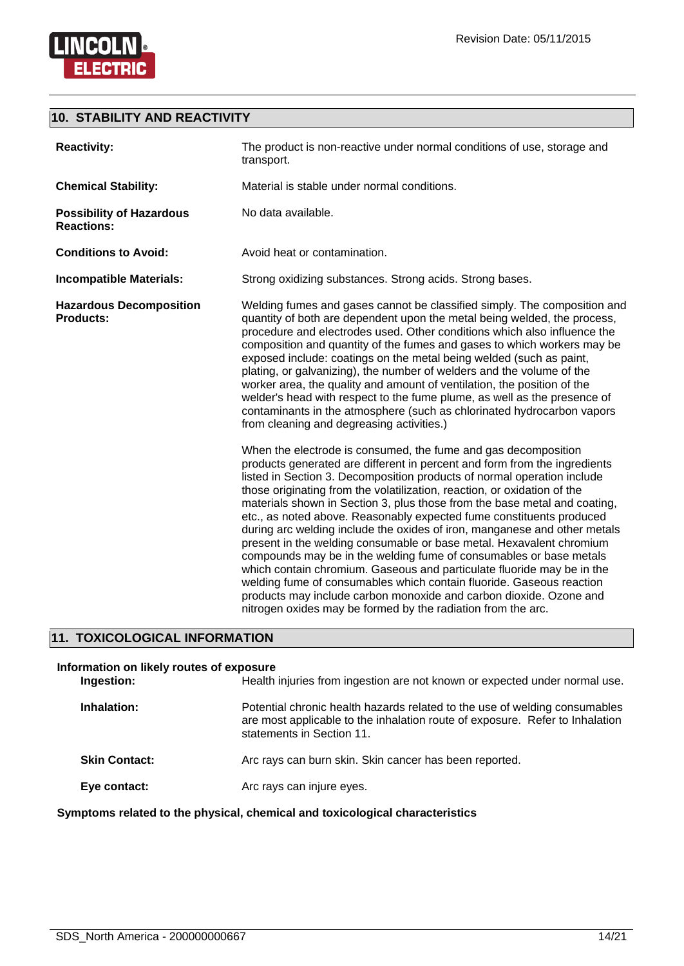

**LINCOLN** 

**ELECTRIC** 

| <b>Reactivity:</b>                                   | The product is non-reactive under normal conditions of use, storage and<br>transport.                                                                                                                                                                                                                                                                                                                                                                                                                                                                                                                                                                                                                                                                                                                                                                                                                                                                                      |
|------------------------------------------------------|----------------------------------------------------------------------------------------------------------------------------------------------------------------------------------------------------------------------------------------------------------------------------------------------------------------------------------------------------------------------------------------------------------------------------------------------------------------------------------------------------------------------------------------------------------------------------------------------------------------------------------------------------------------------------------------------------------------------------------------------------------------------------------------------------------------------------------------------------------------------------------------------------------------------------------------------------------------------------|
| <b>Chemical Stability:</b>                           | Material is stable under normal conditions.                                                                                                                                                                                                                                                                                                                                                                                                                                                                                                                                                                                                                                                                                                                                                                                                                                                                                                                                |
| <b>Possibility of Hazardous</b><br><b>Reactions:</b> | No data available.                                                                                                                                                                                                                                                                                                                                                                                                                                                                                                                                                                                                                                                                                                                                                                                                                                                                                                                                                         |
| <b>Conditions to Avoid:</b>                          | Avoid heat or contamination.                                                                                                                                                                                                                                                                                                                                                                                                                                                                                                                                                                                                                                                                                                                                                                                                                                                                                                                                               |
| <b>Incompatible Materials:</b>                       | Strong oxidizing substances. Strong acids. Strong bases.                                                                                                                                                                                                                                                                                                                                                                                                                                                                                                                                                                                                                                                                                                                                                                                                                                                                                                                   |
| <b>Hazardous Decomposition</b><br><b>Products:</b>   | Welding fumes and gases cannot be classified simply. The composition and<br>quantity of both are dependent upon the metal being welded, the process,<br>procedure and electrodes used. Other conditions which also influence the<br>composition and quantity of the fumes and gases to which workers may be<br>exposed include: coatings on the metal being welded (such as paint,<br>plating, or galvanizing), the number of welders and the volume of the<br>worker area, the quality and amount of ventilation, the position of the<br>welder's head with respect to the fume plume, as well as the presence of<br>contaminants in the atmosphere (such as chlorinated hydrocarbon vapors<br>from cleaning and degreasing activities.)                                                                                                                                                                                                                                  |
|                                                      | When the electrode is consumed, the fume and gas decomposition<br>products generated are different in percent and form from the ingredients<br>listed in Section 3. Decomposition products of normal operation include<br>those originating from the volatilization, reaction, or oxidation of the<br>materials shown in Section 3, plus those from the base metal and coating,<br>etc., as noted above. Reasonably expected fume constituents produced<br>during arc welding include the oxides of iron, manganese and other metals<br>present in the welding consumable or base metal. Hexavalent chromium<br>compounds may be in the welding fume of consumables or base metals<br>which contain chromium. Gaseous and particulate fluoride may be in the<br>welding fume of consumables which contain fluoride. Gaseous reaction<br>products may include carbon monoxide and carbon dioxide. Ozone and<br>nitrogen oxides may be formed by the radiation from the arc. |

# **11. TOXICOLOGICAL INFORMATION**

| Information on likely routes of exposure<br>Ingestion: | Health injuries from ingestion are not known or expected under normal use.                                                                                                              |
|--------------------------------------------------------|-----------------------------------------------------------------------------------------------------------------------------------------------------------------------------------------|
| Inhalation:                                            | Potential chronic health hazards related to the use of welding consumables<br>are most applicable to the inhalation route of exposure. Refer to Inhalation<br>statements in Section 11. |
| <b>Skin Contact:</b>                                   | Arc rays can burn skin. Skin cancer has been reported.                                                                                                                                  |
| Eye contact:                                           | Arc rays can injure eyes.                                                                                                                                                               |

**Symptoms related to the physical, chemical and toxicological characteristics**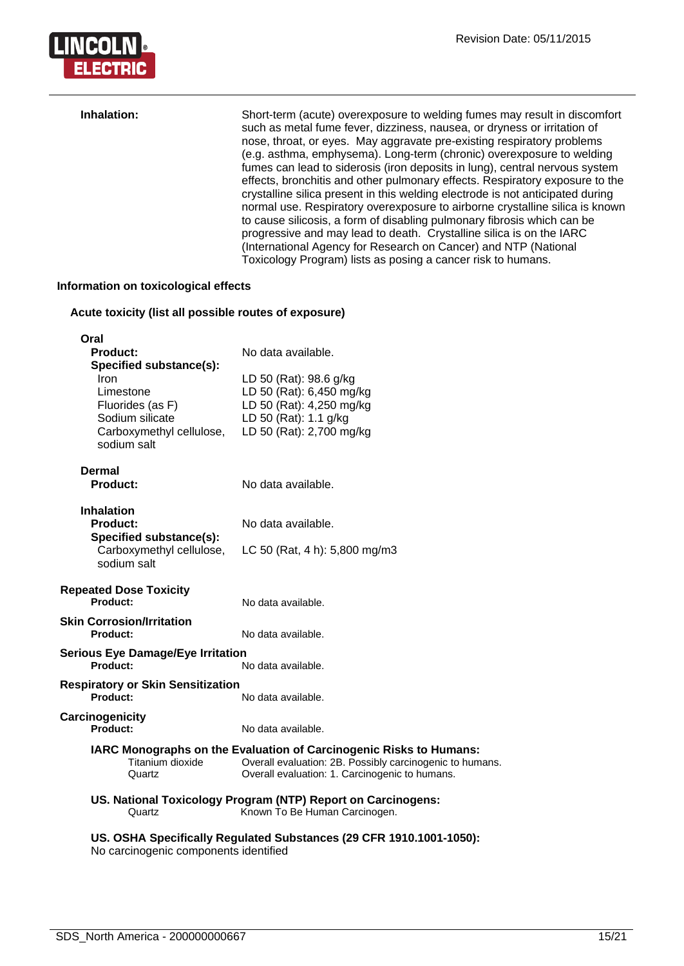

| Inhalation: | Short-term (acute) overexposure to welding fumes may result in discomfort<br>such as metal fume fever, dizziness, nausea, or dryness or irritation of<br>nose, throat, or eyes. May aggravate pre-existing respiratory problems<br>(e.g. asthma, emphysema). Long-term (chronic) overexposure to welding<br>fumes can lead to siderosis (iron deposits in lung), central nervous system<br>effects, bronchitis and other pulmonary effects. Respiratory exposure to the<br>crystalline silica present in this welding electrode is not anticipated during<br>normal use. Respiratory overexposure to airborne crystalline silica is known<br>to cause silicosis, a form of disabling pulmonary fibrosis which can be<br>progressive and may lead to death. Crystalline silica is on the IARC<br>(International Agency for Research on Cancer) and NTP (National |
|-------------|-----------------------------------------------------------------------------------------------------------------------------------------------------------------------------------------------------------------------------------------------------------------------------------------------------------------------------------------------------------------------------------------------------------------------------------------------------------------------------------------------------------------------------------------------------------------------------------------------------------------------------------------------------------------------------------------------------------------------------------------------------------------------------------------------------------------------------------------------------------------|
|             | Toxicology Program) lists as posing a cancer risk to humans.                                                                                                                                                                                                                                                                                                                                                                                                                                                                                                                                                                                                                                                                                                                                                                                                    |

#### **Information on toxicological effects**

# **Acute toxicity (list all possible routes of exposure)**

| Oral<br><b>Product:</b><br>Specified substance(s): | No data available.                                                                                                             |
|----------------------------------------------------|--------------------------------------------------------------------------------------------------------------------------------|
| Iron                                               | LD 50 (Rat): 98.6 g/kg                                                                                                         |
| Limestone                                          | LD 50 (Rat): 6,450 mg/kg                                                                                                       |
| Fluorides (as F)                                   | LD 50 (Rat): 4,250 mg/kg                                                                                                       |
| Sodium silicate                                    | LD 50 (Rat): 1.1 g/kg                                                                                                          |
| Carboxymethyl cellulose,                           | LD 50 (Rat): 2,700 mg/kg                                                                                                       |
| sodium salt                                        |                                                                                                                                |
| Dermal                                             |                                                                                                                                |
| Product:                                           | No data available.                                                                                                             |
|                                                    |                                                                                                                                |
| <b>Inhalation</b>                                  |                                                                                                                                |
| Product:                                           | No data available.                                                                                                             |
| Specified substance(s):                            |                                                                                                                                |
| Carboxymethyl cellulose,                           | LC 50 (Rat, 4 h): 5,800 mg/m3                                                                                                  |
| sodium salt                                        |                                                                                                                                |
| <b>Repeated Dose Toxicity</b>                      |                                                                                                                                |
| <b>Product:</b>                                    | No data available.                                                                                                             |
| <b>Skin Corrosion/Irritation</b>                   |                                                                                                                                |
| <b>Product:</b>                                    | No data available.                                                                                                             |
| <b>Serious Eye Damage/Eye Irritation</b>           |                                                                                                                                |
| <b>Product:</b>                                    | No data available.                                                                                                             |
| <b>Respiratory or Skin Sensitization</b>           |                                                                                                                                |
| <b>Product:</b>                                    | No data available.                                                                                                             |
|                                                    |                                                                                                                                |
| Carcinogenicity<br>Product:                        | No data available.                                                                                                             |
|                                                    |                                                                                                                                |
| Titanium dioxide                                   | IARC Monographs on the Evaluation of Carcinogenic Risks to Humans:<br>Overall evaluation: 2B. Possibly carcinogenic to humans. |
| Quartz                                             | Overall evaluation: 1. Carcinogenic to humans.                                                                                 |
|                                                    | US. National Toxicology Program (NTP) Report on Carcinogens:                                                                   |
| Quartz                                             | Known To Be Human Carcinogen.                                                                                                  |
|                                                    | US. OSHA Specifically Regulated Substances (29 CFR 1910.1001-1050):                                                            |

No carcinogenic components identified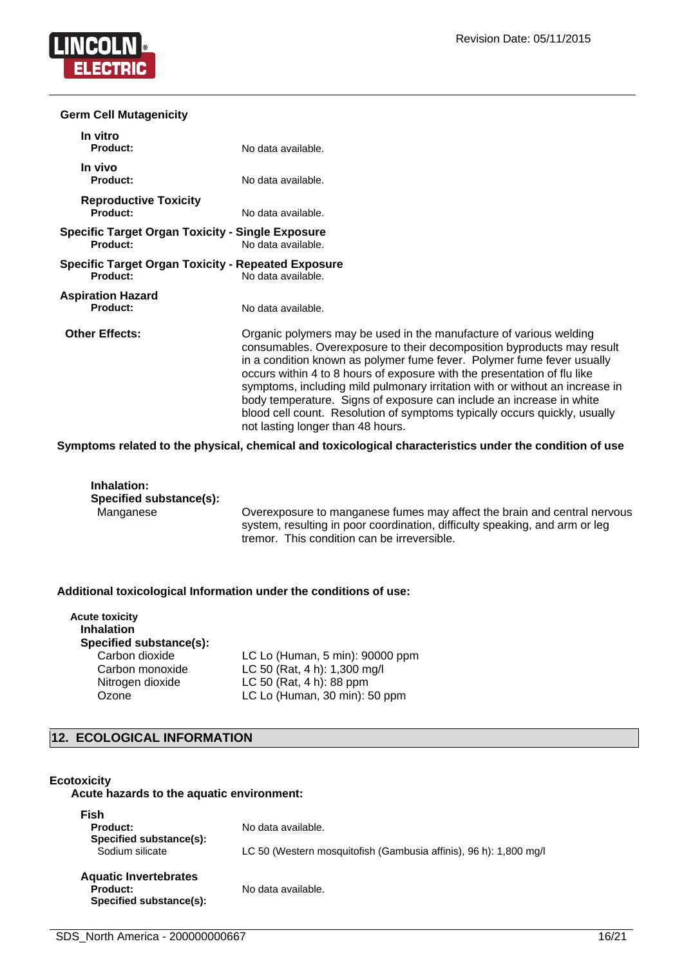

#### **Germ Cell Mutagenicity**

| In vitro<br><b>Product:</b>                                         | No data available.                                                                                                                                                                                                                                                                                                                                                                                                                                                                                                                                                            |
|---------------------------------------------------------------------|-------------------------------------------------------------------------------------------------------------------------------------------------------------------------------------------------------------------------------------------------------------------------------------------------------------------------------------------------------------------------------------------------------------------------------------------------------------------------------------------------------------------------------------------------------------------------------|
| In vivo<br><b>Product:</b>                                          | No data available.                                                                                                                                                                                                                                                                                                                                                                                                                                                                                                                                                            |
| <b>Reproductive Toxicity</b><br>Product:                            | No data available.                                                                                                                                                                                                                                                                                                                                                                                                                                                                                                                                                            |
| <b>Specific Target Organ Toxicity - Single Exposure</b><br>Product: | No data available.                                                                                                                                                                                                                                                                                                                                                                                                                                                                                                                                                            |
| Specific Target Organ Toxicity - Repeated Exposure<br>Product:      | No data available.                                                                                                                                                                                                                                                                                                                                                                                                                                                                                                                                                            |
| <b>Aspiration Hazard</b><br>Product:                                | No data available.                                                                                                                                                                                                                                                                                                                                                                                                                                                                                                                                                            |
| <b>Other Effects:</b>                                               | Organic polymers may be used in the manufacture of various welding<br>consumables. Overexposure to their decomposition byproducts may result<br>in a condition known as polymer fume fever. Polymer fume fever usually<br>occurs within 4 to 8 hours of exposure with the presentation of flu like<br>symptoms, including mild pulmonary irritation with or without an increase in<br>body temperature. Signs of exposure can include an increase in white<br>blood cell count. Resolution of symptoms typically occurs quickly, usually<br>not lasting longer than 48 hours. |

**Symptoms related to the physical, chemical and toxicological characteristics under the condition of use**

**Inhalation: Specified substance(s):**

Overexposure to manganese fumes may affect the brain and central nervous system, resulting in poor coordination, difficulty speaking, and arm or leg tremor. This condition can be irreversible.

#### **Additional toxicological Information under the conditions of use:**

| <b>Acute toxicity</b><br><b>Inhalation</b><br>Specified substance(s): |                                 |
|-----------------------------------------------------------------------|---------------------------------|
| Carbon dioxide                                                        | LC Lo (Human, 5 min): 90000 ppm |
| Carbon monoxide                                                       | LC 50 (Rat, 4 h): 1,300 mg/l    |
| Nitrogen dioxide                                                      | LC 50 (Rat, 4 h): 88 ppm        |
| Ozone                                                                 | LC Lo (Human, 30 min): 50 ppm   |

### **12. ECOLOGICAL INFORMATION**

#### **Ecotoxicity**

#### **Acute hazards to the aquatic environment:**

| Fish<br>Product:<br>Specified substance(s):<br>Sodium silicate      | No data available.<br>LC 50 (Western mosquitofish (Gambusia affinis), 96 h): 1,800 mg/l |
|---------------------------------------------------------------------|-----------------------------------------------------------------------------------------|
| <b>Aquatic Invertebrates</b><br>Product:<br>Specified substance(s): | No data available.                                                                      |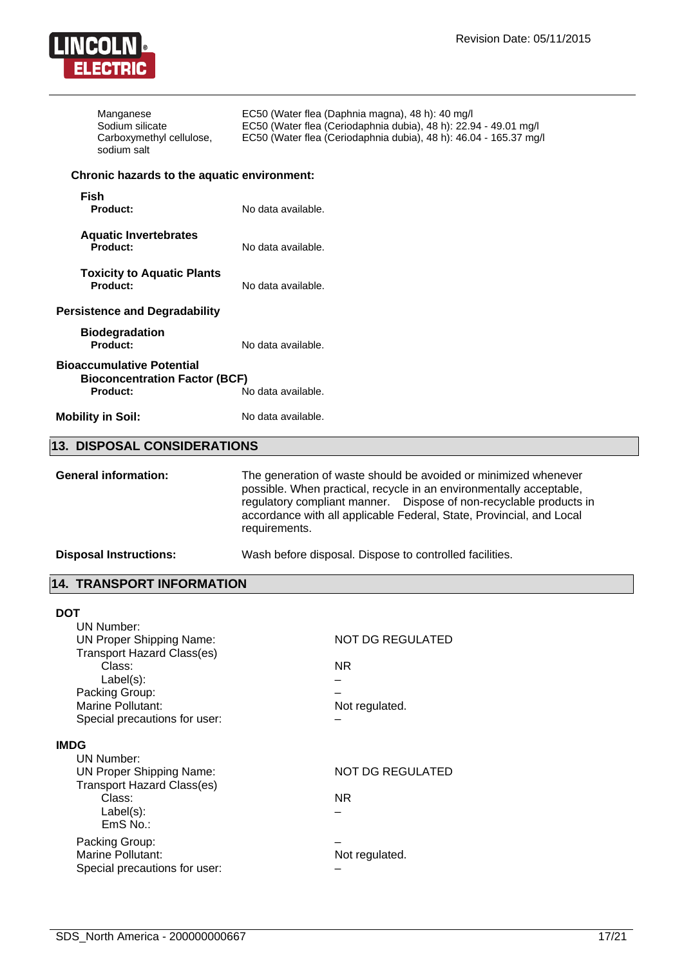

| Manganese<br>Sodium silicate<br>Carboxymethyl cellulose,<br>sodium salt                                                         | EC50 (Water flea (Daphnia magna), 48 h): 40 mg/l<br>EC50 (Water flea (Ceriodaphnia dubia), 48 h): 22.94 - 49.01 mg/l<br>EC50 (Water flea (Ceriodaphnia dubia), 48 h): 46.04 - 165.37 mg/l                                                                                                              |  |
|---------------------------------------------------------------------------------------------------------------------------------|--------------------------------------------------------------------------------------------------------------------------------------------------------------------------------------------------------------------------------------------------------------------------------------------------------|--|
| Chronic hazards to the aquatic environment:                                                                                     |                                                                                                                                                                                                                                                                                                        |  |
| Fish<br><b>Product:</b>                                                                                                         | No data available.                                                                                                                                                                                                                                                                                     |  |
| <b>Aquatic Invertebrates</b><br>Product:                                                                                        | No data available.                                                                                                                                                                                                                                                                                     |  |
| <b>Toxicity to Aquatic Plants</b><br>Product:                                                                                   | No data available.                                                                                                                                                                                                                                                                                     |  |
| <b>Persistence and Degradability</b>                                                                                            |                                                                                                                                                                                                                                                                                                        |  |
| <b>Biodegradation</b><br>Product:                                                                                               | No data available.                                                                                                                                                                                                                                                                                     |  |
| <b>Bioaccumulative Potential</b><br><b>Bioconcentration Factor (BCF)</b><br>Product:                                            | No data available.                                                                                                                                                                                                                                                                                     |  |
| <b>Mobility in Soil:</b>                                                                                                        | No data available.                                                                                                                                                                                                                                                                                     |  |
| <b>13. DISPOSAL CONSIDERATIONS</b>                                                                                              |                                                                                                                                                                                                                                                                                                        |  |
| <b>General information:</b>                                                                                                     | The generation of waste should be avoided or minimized whenever<br>possible. When practical, recycle in an environmentally acceptable,<br>regulatory compliant manner.  Dispose of non-recyclable products in<br>accordance with all applicable Federal, State, Provincial, and Local<br>requirements. |  |
| <b>Disposal Instructions:</b>                                                                                                   | Wash before disposal. Dispose to controlled facilities.                                                                                                                                                                                                                                                |  |
| <b>14. TRANSPORT INFORMATION</b>                                                                                                |                                                                                                                                                                                                                                                                                                        |  |
| <b>DOT</b>                                                                                                                      |                                                                                                                                                                                                                                                                                                        |  |
| <b>UN Number:</b><br><b>UN Proper Shipping Name:</b><br><b>Transport Hazard Class(es)</b>                                       | NOT DG REGULATED                                                                                                                                                                                                                                                                                       |  |
| Class:                                                                                                                          | <b>NR</b>                                                                                                                                                                                                                                                                                              |  |
| Label(s):<br>Packing Group:                                                                                                     |                                                                                                                                                                                                                                                                                                        |  |
| Marine Pollutant:<br>Special precautions for user:                                                                              | Not regulated.                                                                                                                                                                                                                                                                                         |  |
| <b>IMDG</b>                                                                                                                     |                                                                                                                                                                                                                                                                                                        |  |
| <b>UN Number:</b><br><b>UN Proper Shipping Name:</b><br><b>Transport Hazard Class(es)</b><br>Class:<br>$Label(s)$ :<br>EmS No.: | NOT DG REGULATED                                                                                                                                                                                                                                                                                       |  |
|                                                                                                                                 | <b>NR</b>                                                                                                                                                                                                                                                                                              |  |
| Packing Group:<br>Marine Pollutant:<br>Special precautions for user:                                                            | Not regulated.                                                                                                                                                                                                                                                                                         |  |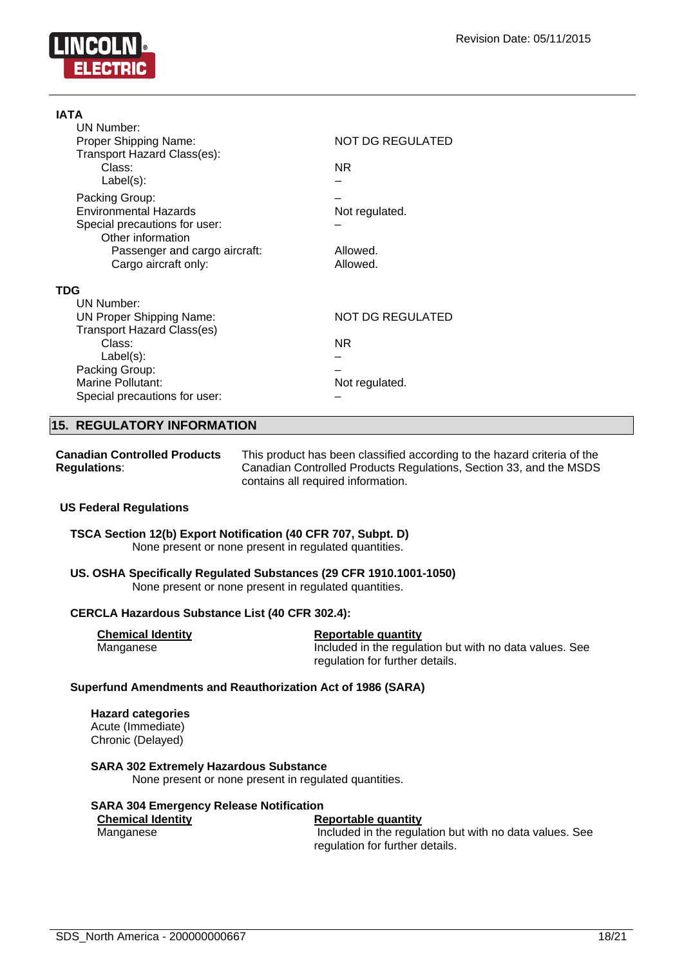

| IATA                              |                         |
|-----------------------------------|-------------------------|
| <b>UN Number:</b>                 |                         |
| Proper Shipping Name:             | NOT DG REGULATED        |
| Transport Hazard Class(es):       |                         |
| Class:                            | NR.                     |
| $Label(s)$ :                      |                         |
| Packing Group:                    |                         |
| <b>Environmental Hazards</b>      | Not regulated.          |
| Special precautions for user:     |                         |
| Other information                 |                         |
| Passenger and cargo aircraft:     | Allowed.                |
| Cargo aircraft only:              | Allowed.                |
| TDG                               |                         |
| UN Number:                        |                         |
| <b>UN Proper Shipping Name:</b>   | <b>NOT DG REGULATED</b> |
| <b>Transport Hazard Class(es)</b> |                         |
| Class:                            | NR.                     |
| $Label(s)$ :                      |                         |
| Packing Group:                    |                         |
| <b>Marine Pollutant:</b>          | Not regulated.          |
| Special precautions for user:     |                         |

#### **15. REGULATORY INFORMATION**

| <b>Canadian Controlled Products</b> | This product has been classified according to the hazard criteria of the |
|-------------------------------------|--------------------------------------------------------------------------|
| <b>Regulations:</b>                 | Canadian Controlled Products Regulations, Section 33, and the MSDS       |
|                                     | contains all required information.                                       |

#### **US Federal Regulations**

**TSCA Section 12(b) Export Notification (40 CFR 707, Subpt. D)** None present or none present in regulated quantities.

#### **US. OSHA Specifically Regulated Substances (29 CFR 1910.1001-1050)** None present or none present in regulated quantities.

#### **CERCLA Hazardous Substance List (40 CFR 302.4):**

| <b>Chemical Identity</b> | Reportable quantity                                     |
|--------------------------|---------------------------------------------------------|
| Manganese                | Included in the regulation but with no data values. See |
|                          | regulation for further details.                         |

#### **Superfund Amendments and Reauthorization Act of 1986 (SARA)**

**Hazard categories** Acute (Immediate) Chronic (Delayed)

#### **SARA 302 Extremely Hazardous Substance**

None present or none present in regulated quantities.

#### **SARA 304 Emergency Release Notification**

| <b>Chemical Identity</b> | Reportable quantity                                     |
|--------------------------|---------------------------------------------------------|
| Manganese                | Included in the regulation but with no data values. See |
|                          | regulation for further details.                         |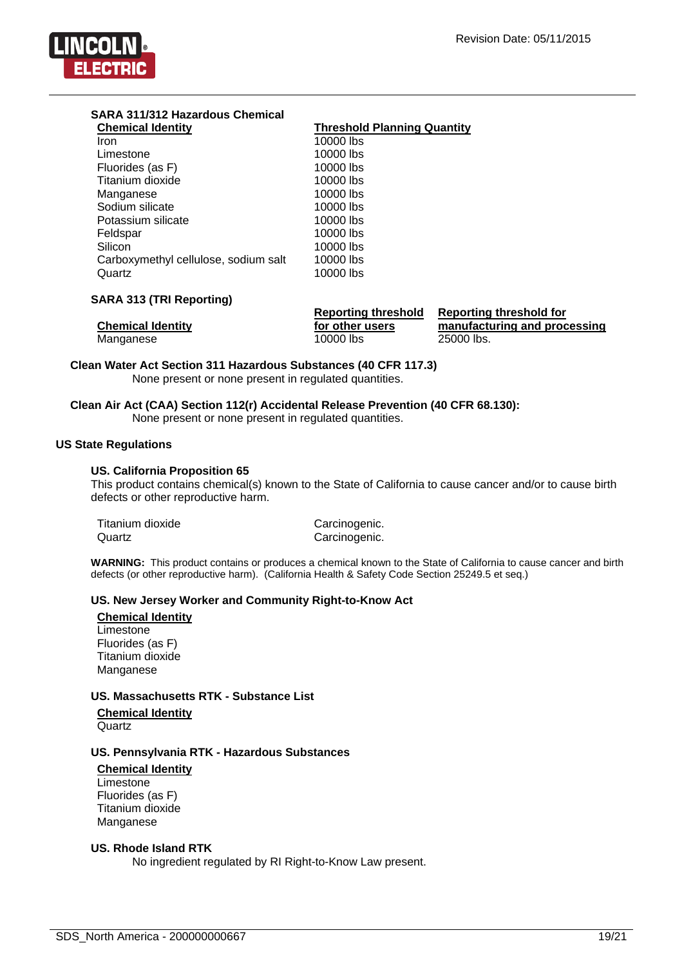

| <b>Threshold Planning Quantity</b> |
|------------------------------------|
| 10000 lbs                          |
| 10000 lbs                          |
| 10000 lbs                          |
| 10000 lbs                          |
|                                    |

| Titanium dioxide                     | 10000 IDS |  |  |
|--------------------------------------|-----------|--|--|
| Manganese                            | 10000 lbs |  |  |
| Sodium silicate                      | 10000 lbs |  |  |
| Potassium silicate                   | 10000 lbs |  |  |
| Feldspar                             | 10000 lbs |  |  |
| Silicon                              | 10000 lbs |  |  |
| Carboxymethyl cellulose, sodium salt | 10000 lbs |  |  |
| Quartz                               | 10000 lbs |  |  |
|                                      |           |  |  |
| <b>SARA 313 (TRI Reporting)</b>      |           |  |  |

|                          | <b>Reporting threshold</b> | <b>Reporting threshold for</b> |
|--------------------------|----------------------------|--------------------------------|
| <b>Chemical Identity</b> | for other users            | manufacturing and processing   |
| Manganese                | 10000 lbs                  | 25000 lbs.                     |

**Clean Water Act Section 311 Hazardous Substances (40 CFR 117.3)** None present or none present in regulated quantities.

**Clean Air Act (CAA) Section 112(r) Accidental Release Prevention (40 CFR 68.130):**

None present or none present in regulated quantities.

#### **US State Regulations**

#### **US. California Proposition 65**

This product contains chemical(s) known to the State of California to cause cancer and/or to cause birth defects or other reproductive harm.

| Titanium dioxide |  |
|------------------|--|
| Quartz           |  |

Carcinogenic. Carcinogenic.

**WARNING:** This product contains or produces a chemical known to the State of California to cause cancer and birth defects (or other reproductive harm). (California Health & Safety Code Section 25249.5 et seq.)

#### **US. New Jersey Worker and Community Right-to-Know Act**

**Chemical Identity** Limestone Fluorides (as F) Titanium dioxide Manganese

#### **US. Massachusetts RTK - Substance List**

**Chemical Identity Quartz** 

#### **US. Pennsylvania RTK - Hazardous Substances**

#### **Chemical Identity** Limestone Fluorides (as F) Titanium dioxide Manganese

#### **US. Rhode Island RTK**

No ingredient regulated by RI Right-to-Know Law present.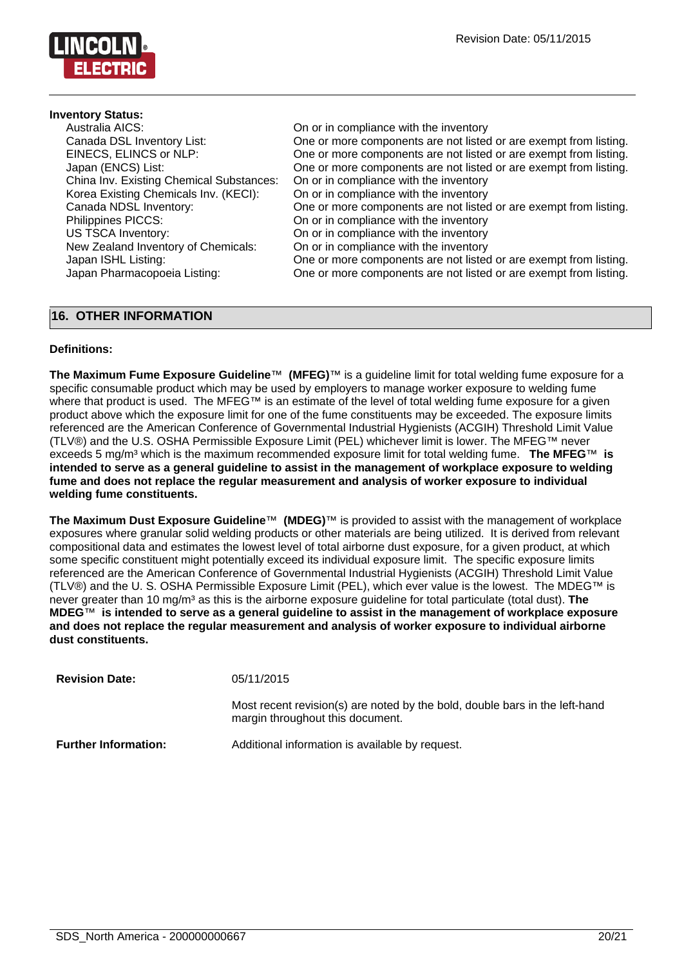

#### **Inventory Status:**

| Australia AICS:                          | On or in compliance with the inventory                            |
|------------------------------------------|-------------------------------------------------------------------|
| Canada DSL Inventory List:               | One or more components are not listed or are exempt from listing. |
| EINECS, ELINCS or NLP:                   | One or more components are not listed or are exempt from listing. |
| Japan (ENCS) List:                       | One or more components are not listed or are exempt from listing. |
| China Inv. Existing Chemical Substances: | On or in compliance with the inventory                            |
| Korea Existing Chemicals Inv. (KECI):    | On or in compliance with the inventory                            |
| Canada NDSL Inventory:                   | One or more components are not listed or are exempt from listing. |
| Philippines PICCS:                       | On or in compliance with the inventory                            |
| US TSCA Inventory:                       | On or in compliance with the inventory                            |
|                                          |                                                                   |
| New Zealand Inventory of Chemicals:      | On or in compliance with the inventory                            |
| Japan ISHL Listing:                      | One or more components are not listed or are exempt from listing. |
| Japan Pharmacopoeia Listing:             | One or more components are not listed or are exempt from listing. |
|                                          |                                                                   |

### **16. OTHER INFORMATION**

#### **Definitions:**

**The Maximum Fume Exposure Guideline**™ **(MFEG)**™ is a guideline limit for total welding fume exposure for a specific consumable product which may be used by employers to manage worker exposure to welding fume where that product is used. The MFEG™ is an estimate of the level of total welding fume exposure for a given product above which the exposure limit for one of the fume constituents may be exceeded. The exposure limits referenced are the American Conference of Governmental Industrial Hygienists (ACGIH) Threshold Limit Value (TLV®) and the U.S. OSHA Permissible Exposure Limit (PEL) whichever limit is lower. The MFEG™ never exceeds 5 mg/m³ which is the maximum recommended exposure limit for total welding fume. **The MFEG**™ **is intended to serve as a general guideline to assist in the management of workplace exposure to welding fume and does not replace the regular measurement and analysis of worker exposure to individual welding fume constituents.**

**The Maximum Dust Exposure Guideline**™ **(MDEG)**™ is provided to assist with the management of workplace exposures where granular solid welding products or other materials are being utilized. It is derived from relevant compositional data and estimates the lowest level of total airborne dust exposure, for a given product, at which some specific constituent might potentially exceed its individual exposure limit. The specific exposure limits referenced are the American Conference of Governmental Industrial Hygienists (ACGIH) Threshold Limit Value (TLV®) and the U. S. OSHA Permissible Exposure Limit (PEL), which ever value is the lowest. The MDEG™ is never greater than 10 mg/m<sup>3</sup> as this is the airborne exposure guideline for total particulate (total dust). The **MDEG**™ **is intended to serve as a general guideline to assist in the management of workplace exposure and does not replace the regular measurement and analysis of worker exposure to individual airborne dust constituents.**

| <b>Revision Date:</b>       | 05/11/2015                                                                                                      |
|-----------------------------|-----------------------------------------------------------------------------------------------------------------|
|                             | Most recent revision(s) are noted by the bold, double bars in the left-hand<br>margin throughout this document. |
| <b>Further Information:</b> | Additional information is available by request.                                                                 |